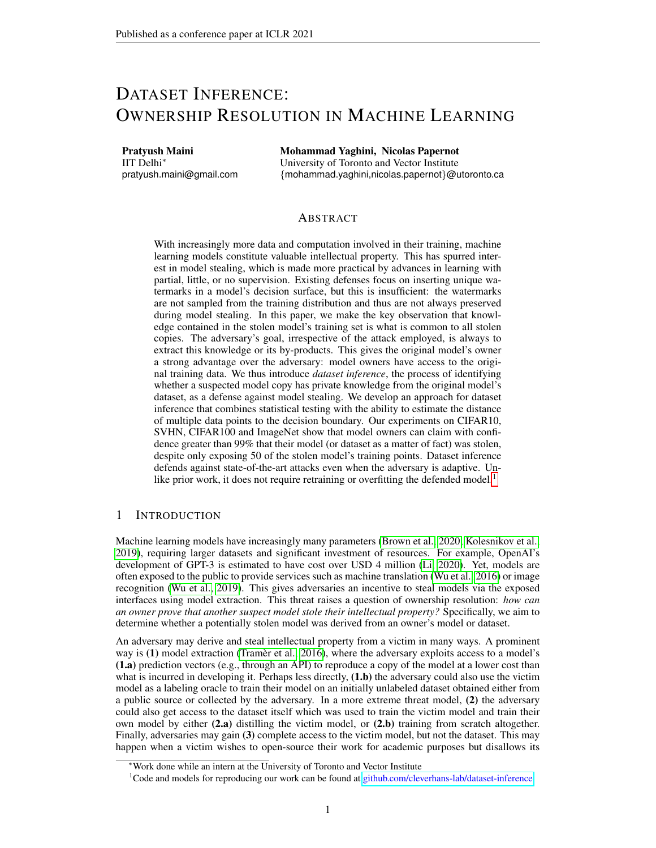# DATASET INFERENCE: OWNERSHIP RESOLUTION IN MACHINE LEARNING

Pratyush Maini IIT Delhi<sup>∗</sup> pratyush.maini@gmail.com Mohammad Yaghini, Nicolas Papernot University of Toronto and Vector Institute {mohammad.yaghini,nicolas.papernot}@utoronto.ca

## ABSTRACT

With increasingly more data and computation involved in their training, machine learning models constitute valuable intellectual property. This has spurred interest in model stealing, which is made more practical by advances in learning with partial, little, or no supervision. Existing defenses focus on inserting unique watermarks in a model's decision surface, but this is insufficient: the watermarks are not sampled from the training distribution and thus are not always preserved during model stealing. In this paper, we make the key observation that knowledge contained in the stolen model's training set is what is common to all stolen copies. The adversary's goal, irrespective of the attack employed, is always to extract this knowledge or its by-products. This gives the original model's owner a strong advantage over the adversary: model owners have access to the original training data. We thus introduce *dataset inference*, the process of identifying whether a suspected model copy has private knowledge from the original model's dataset, as a defense against model stealing. We develop an approach for dataset inference that combines statistical testing with the ability to estimate the distance of multiple data points to the decision boundary. Our experiments on CIFAR10, SVHN, CIFAR100 and ImageNet show that model owners can claim with confidence greater than 99% that their model (or dataset as a matter of fact) was stolen, despite only exposing 50 of the stolen model's training points. Dataset inference defends against state-of-the-art attacks even when the adversary is adaptive. Un-like prior work, it does not require retraining or overfitting the defended model.<sup>[1](#page-0-0)</sup>

# 1 INTRODUCTION

Machine learning models have increasingly many parameters [\(Brown et al., 2020;](#page-9-0) [Kolesnikov et al.,](#page-9-1) [2019\)](#page-9-1), requiring larger datasets and significant investment of resources. For example, OpenAI's development of GPT-3 is estimated to have cost over USD 4 million [\(Li, 2020\)](#page-10-0). Yet, models are often exposed to the public to provide services such as machine translation [\(Wu et al., 2016\)](#page-11-0) or image recognition [\(Wu et al., 2019\)](#page-11-1). This gives adversaries an incentive to steal models via the exposed interfaces using model extraction. This threat raises a question of ownership resolution: *how can an owner prove that another suspect model stole their intellectual property?* Specifically, we aim to determine whether a potentially stolen model was derived from an owner's model or dataset.

An adversary may derive and steal intellectual property from a victim in many ways. A prominent way is (1) model extraction [\(Tramer et al., 2016\)](#page-11-2), where the adversary exploits access to a model's (1.a) prediction vectors (e.g., through an API) to reproduce a copy of the model at a lower cost than what is incurred in developing it. Perhaps less directly,  $(1.b)$  the adversary could also use the victim model as a labeling oracle to train their model on an initially unlabeled dataset obtained either from a public source or collected by the adversary. In a more extreme threat model, (2) the adversary could also get access to the dataset itself which was used to train the victim model and train their own model by either  $(2,a)$  distilling the victim model, or  $(2.b)$  training from scratch altogether. Finally, adversaries may gain (3) complete access to the victim model, but not the dataset. This may happen when a victim wishes to open-source their work for academic purposes but disallows its

<sup>∗</sup>Work done while an intern at the University of Toronto and Vector Institute

<span id="page-0-0"></span><sup>1</sup>Code and models for reproducing our work can be found at [github.com/cleverhans-lab/dataset-inference](https://github.com/cleverhans-lab/dataset-inference)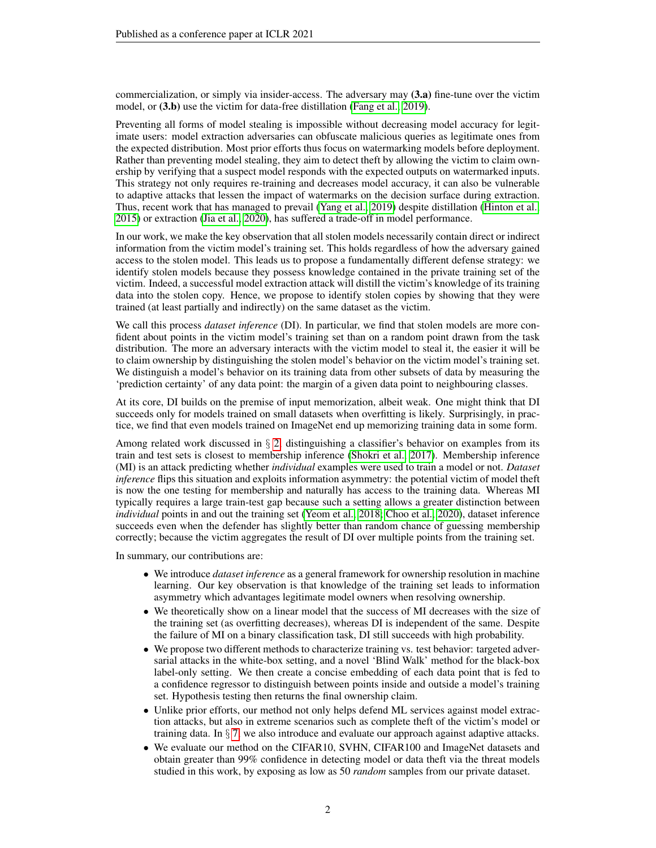commercialization, or simply via insider-access. The adversary may (3.a) fine-tune over the victim model, or  $(3.b)$  use the victim for data-free distillation [\(Fang et al., 2019\)](#page-9-2).

Preventing all forms of model stealing is impossible without decreasing model accuracy for legitimate users: model extraction adversaries can obfuscate malicious queries as legitimate ones from the expected distribution. Most prior efforts thus focus on watermarking models before deployment. Rather than preventing model stealing, they aim to detect theft by allowing the victim to claim ownership by verifying that a suspect model responds with the expected outputs on watermarked inputs. This strategy not only requires re-training and decreases model accuracy, it can also be vulnerable to adaptive attacks that lessen the impact of watermarks on the decision surface during extraction. Thus, recent work that has managed to prevail [\(Yang et al., 2019\)](#page-11-3) despite distillation [\(Hinton et al.,](#page-9-3) [2015\)](#page-9-3) or extraction [\(Jia et al., 2020\)](#page-9-4), has suffered a trade-off in model performance.

In our work, we make the key observation that all stolen models necessarily contain direct or indirect information from the victim model's training set. This holds regardless of how the adversary gained access to the stolen model. This leads us to propose a fundamentally different defense strategy: we identify stolen models because they possess knowledge contained in the private training set of the victim. Indeed, a successful model extraction attack will distill the victim's knowledge of its training data into the stolen copy. Hence, we propose to identify stolen copies by showing that they were trained (at least partially and indirectly) on the same dataset as the victim.

We call this process *dataset inference* (DI). In particular, we find that stolen models are more confident about points in the victim model's training set than on a random point drawn from the task distribution. The more an adversary interacts with the victim model to steal it, the easier it will be to claim ownership by distinguishing the stolen model's behavior on the victim model's training set. We distinguish a model's behavior on its training data from other subsets of data by measuring the 'prediction certainty' of any data point: the margin of a given data point to neighbouring classes.

At its core, DI builds on the premise of input memorization, albeit weak. One might think that DI succeeds only for models trained on small datasets when overfitting is likely. Surprisingly, in practice, we find that even models trained on ImageNet end up memorizing training data in some form.

Among related work discussed in  $\S$  [2,](#page-2-0) distinguishing a classifier's behavior on examples from its train and test sets is closest to membership inference [\(Shokri et al., 2017\)](#page-10-1). Membership inference (MI) is an attack predicting whether *individual* examples were used to train a model or not. *Dataset inference* flips this situation and exploits information asymmetry: the potential victim of model theft is now the one testing for membership and naturally has access to the training data. Whereas MI typically requires a large train-test gap because such a setting allows a greater distinction between *individual* points in and out the training set [\(Yeom et al., 2018;](#page-11-4) [Choo et al., 2020\)](#page-9-5), dataset inference succeeds even when the defender has slightly better than random chance of guessing membership correctly; because the victim aggregates the result of DI over multiple points from the training set.

In summary, our contributions are:

- We introduce *dataset inference* as a general framework for ownership resolution in machine learning. Our key observation is that knowledge of the training set leads to information asymmetry which advantages legitimate model owners when resolving ownership.
- We theoretically show on a linear model that the success of MI decreases with the size of the training set (as overfitting decreases), whereas DI is independent of the same. Despite the failure of MI on a binary classification task, DI still succeeds with high probability.
- We propose two different methods to characterize training vs. test behavior: targeted adversarial attacks in the white-box setting, and a novel 'Blind Walk' method for the black-box label-only setting. We then create a concise embedding of each data point that is fed to a confidence regressor to distinguish between points inside and outside a model's training set. Hypothesis testing then returns the final ownership claim.
- Unlike prior efforts, our method not only helps defend ML services against model extraction attacks, but also in extreme scenarios such as complete theft of the victim's model or training data. In § [7,](#page-7-0) we also introduce and evaluate our approach against adaptive attacks.
- We evaluate our method on the CIFAR10, SVHN, CIFAR100 and ImageNet datasets and obtain greater than 99% confidence in detecting model or data theft via the threat models studied in this work, by exposing as low as 50 *random* samples from our private dataset.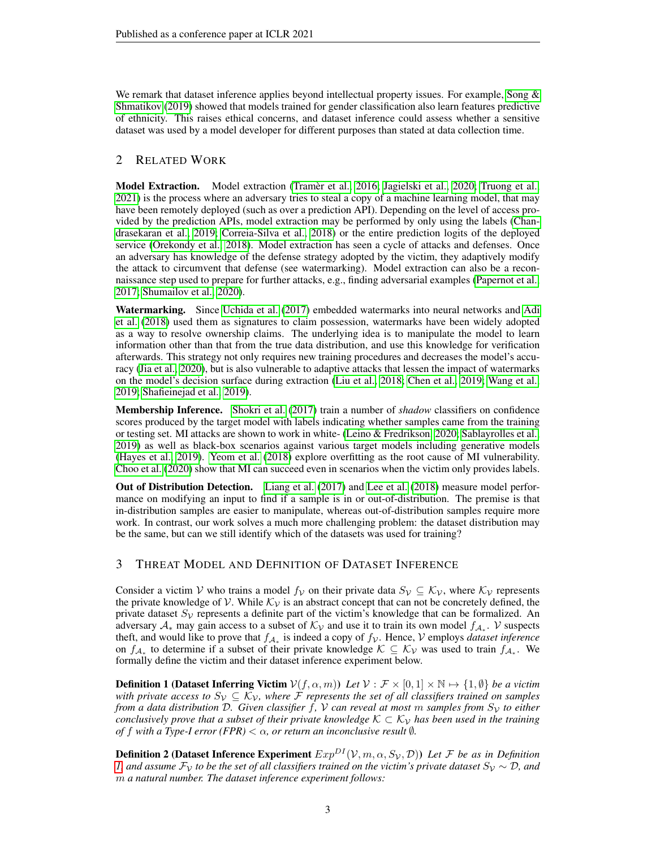We remark that dataset inference applies beyond intellectual property issues. For example, Song  $\&$ [Shmatikov](#page-10-2) [\(2019\)](#page-10-2) showed that models trained for gender classification also learn features predictive of ethnicity. This raises ethical concerns, and dataset inference could assess whether a sensitive dataset was used by a model developer for different purposes than stated at data collection time.

# <span id="page-2-0"></span>2 RELATED WORK

Model Extraction. Model extraction [\(Tramer et al., 2016;](#page-11-2) [Jagielski et al., 2020;](#page-9-6) [Truong et al.,](#page-11-5) [2021\)](#page-11-5) is the process where an adversary tries to steal a copy of a machine learning model, that may have been remotely deployed (such as over a prediction API). Depending on the level of access provided by the prediction APIs, model extraction may be performed by only using the labels [\(Chan](#page-9-7)[drasekaran et al., 2019;](#page-9-7) [Correia-Silva et al., 2018\)](#page-9-8) or the entire prediction logits of the deployed service [\(Orekondy et al., 2018\)](#page-10-3). Model extraction has seen a cycle of attacks and defenses. Once an adversary has knowledge of the defense strategy adopted by the victim, they adaptively modify the attack to circumvent that defense (see watermarking). Model extraction can also be a reconnaissance step used to prepare for further attacks, e.g., finding adversarial examples [\(Papernot et al.,](#page-10-4) [2017;](#page-10-4) [Shumailov et al., 2020\)](#page-10-5).

Watermarking. Since [Uchida et al.](#page-11-6) [\(2017\)](#page-11-6) embedded watermarks into neural networks and [Adi](#page-9-9) [et al.](#page-9-9) [\(2018\)](#page-9-9) used them as signatures to claim possession, watermarks have been widely adopted as a way to resolve ownership claims. The underlying idea is to manipulate the model to learn information other than that from the true data distribution, and use this knowledge for verification afterwards. This strategy not only requires new training procedures and decreases the model's accuracy [\(Jia et al., 2020\)](#page-9-4), but is also vulnerable to adaptive attacks that lessen the impact of watermarks on the model's decision surface during extraction [\(Liu et al., 2018;](#page-10-6) [Chen et al., 2019;](#page-9-10) [Wang et al.,](#page-11-7) [2019;](#page-11-7) [Shafieinejad et al., 2019\)](#page-10-7).

Membership Inference. [Shokri et al.](#page-10-1) [\(2017\)](#page-10-1) train a number of *shadow* classifiers on confidence scores produced by the target model with labels indicating whether samples came from the training or testing set. MI attacks are shown to work in white- [\(Leino & Fredrikson, 2020;](#page-10-8) [Sablayrolles et al.,](#page-10-9) [2019\)](#page-10-9) as well as black-box scenarios against various target models including generative models [\(Hayes et al., 2019\)](#page-9-11). [Yeom et al.](#page-11-4) [\(2018\)](#page-11-4) explore overfitting as the root cause of MI vulnerability. [Choo et al.](#page-9-5) [\(2020\)](#page-9-5) show that MI can succeed even in scenarios when the victim only provides labels.

Out of Distribution Detection. [Liang et al.](#page-10-10) [\(2017\)](#page-10-10) and [Lee et al.](#page-10-11) [\(2018\)](#page-10-11) measure model performance on modifying an input to find if a sample is in or out-of-distribution. The premise is that in-distribution samples are easier to manipulate, whereas out-of-distribution samples require more work. In contrast, our work solves a much more challenging problem: the dataset distribution may be the same, but can we still identify which of the datasets was used for training?

# 3 THREAT MODEL AND DEFINITION OF DATASET INFERENCE

Consider a victim V who trains a model  $f_{\mathcal{V}}$  on their private data  $S_{\mathcal{V}} \subseteq \mathcal{K}_{\mathcal{V}}$ , where  $\mathcal{K}_{\mathcal{V}}$  represents the private knowledge of V. While  $K<sub>V</sub>$  is an abstract concept that can not be concretely defined, the private dataset  $S_{\mathcal{V}}$  represents a definite part of the victim's knowledge that can be formalized. An adversary  $A_*$  may gain access to a subset of  $K_V$  and use it to train its own model  $f_{A_*}$ . V suspects theft, and would like to prove that  $f_{A_*}$  is indeed a copy of  $f_{\mathcal{V}}$ . Hence,  $\mathcal{V}$  employs *dataset inference* on  $f_{A_*}$  to determine if a subset of their private knowledge  $K \subseteq K_V$  was used to train  $f_{A_*}$ . We formally define the victim and their dataset inference experiment below.

<span id="page-2-1"></span>**Definition 1 (Dataset Inferring Victim**  $V(f, \alpha, m)$ ) Let  $V : \mathcal{F} \times [0, 1] \times \mathbb{N} \rightarrow \{1, \emptyset\}$  be a victim *with private access to*  $S_{\mathcal{V}} \subseteq \mathcal{K}_{\mathcal{V}}$ *, where* F *represents the set of all classifiers trained on samples from a data distribution* D. Given classifier f, V can reveal at most m samples from  $S_V$  to either *conclusively prove that a subset of their private knowledge*  $K \subset K_{\mathcal{V}}$  *has been used in the training of* f with a Type-I error (FPR)  $< \alpha$ , or return an inconclusive result  $\emptyset$ *.* 

**Definition 2 (Dataset Inference Experiment**  $Exp^{DI}(\mathcal{V}, m, \alpha, S_{\mathcal{V}}, \mathcal{D}))$  Let F be as in Definition *[1,](#page-2-1)* and assume  $\mathcal{F}_{\mathcal{V}}$  *to be the set of all classifiers trained on the victim's private dataset*  $S_{\mathcal{V}} \sim \mathcal{D}$ *, and* m *a natural number. The dataset inference experiment follows:*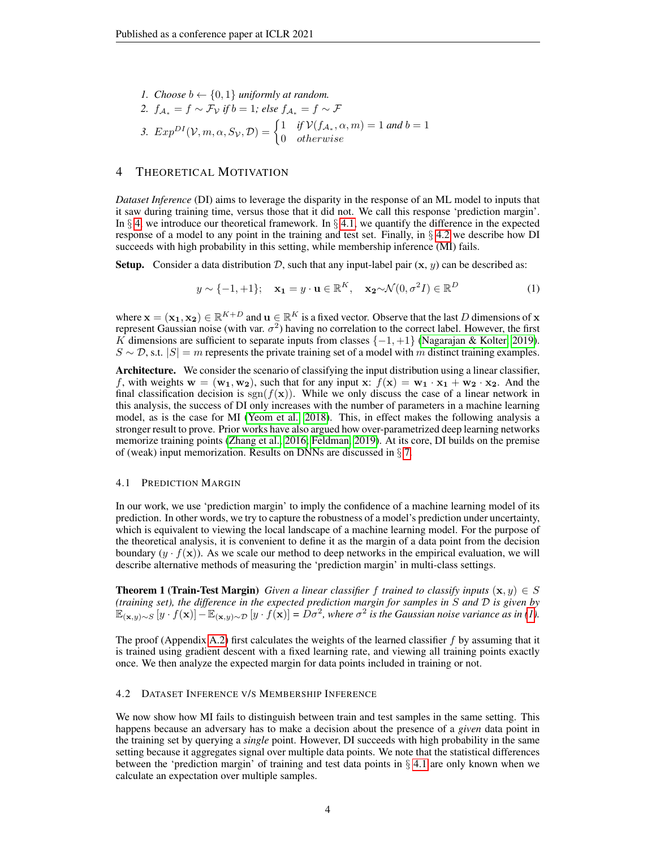*1. Choose*  $b \leftarrow \{0, 1\}$  *uniformly at random. 2.*  $f_{\mathcal{A}_*} = f \sim \mathcal{F}_{\mathcal{V}}$  *if*  $b = 1$ *; else*  $f_{\mathcal{A}_*} = f \sim \mathcal{F}$ 3.  $Exp^{DI}(\mathcal{V}, m, \alpha, S_{\mathcal{V}}, \mathcal{D}) = \begin{cases} 1 & \text{if } \mathcal{V}(f_{\mathcal{A}_{*}}, \alpha, m) = 1 \text{ and } b = 1 \\ 0 & \text{otherwise.} \end{cases}$ 0 otherwise

## <span id="page-3-0"></span>4 THEORETICAL MOTIVATION

*Dataset Inference* (DI) aims to leverage the disparity in the response of an ML model to inputs that it saw during training time, versus those that it did not. We call this response 'prediction margin'. In  $\S$  [4,](#page-3-0) we introduce our theoretical framework. In  $\S$  [4.1,](#page-3-1) we quantify the difference in the expected response of a model to any point in the training and test set. Finally, in § [4.2](#page-3-2) we describe how DI succeeds with high probability in this setting, while membership inference (MI) fails.

**Setup.** Consider a data distribution D, such that any input-label pair  $(x, y)$  can be described as:

<span id="page-3-3"></span>
$$
y \sim \{-1, +1\}; \quad \mathbf{x_1} = y \cdot \mathbf{u} \in \mathbb{R}^K, \quad \mathbf{x_2} \sim \mathcal{N}(0, \sigma^2 I) \in \mathbb{R}^D
$$
 (1)

where  $\mathbf{x} = (\mathbf{x_1}, \mathbf{x_2}) \in \mathbb{R}^{K+D}$  and  $\mathbf{u} \in \mathbb{R}^K$  is a fixed vector. Observe that the last D dimensions of x represent Gaussian noise (with var.  $\sigma^2$ ) having no correlation to the correct label. However, the first K dimensions are sufficient to separate inputs from classes  $\{-1, +1\}$  [\(Nagarajan & Kolter, 2019\)](#page-10-12).  $S \sim \mathcal{D}$ , s.t.  $|S| = m$  represents the private training set of a model with m distinct training examples.

Architecture. We consider the scenario of classifying the input distribution using a linear classifier, f, with weights  $w = (w_1, w_2)$ , such that for any input  $x: f(x) = w_1 \cdot x_1 + w_2 \cdot x_2$ . And the final classification decision is  $sgn(f(\mathbf{x}))$ . While we only discuss the case of a linear network in this analysis, the success of DI only increases with the number of parameters in a machine learning model, as is the case for MI [\(Yeom et al., 2018\)](#page-11-4). This, in effect makes the following analysis a stronger result to prove. Prior works have also argued how over-parametrized deep learning networks memorize training points [\(Zhang et al., 2016;](#page-11-8) [Feldman, 2019\)](#page-9-12). At its core, DI builds on the premise of (weak) input memorization. Results on DNNs are discussed in  $\S$  [7.](#page-7-0)

#### <span id="page-3-1"></span>4.1 PREDICTION MARGIN

In our work, we use 'prediction margin' to imply the confidence of a machine learning model of its prediction. In other words, we try to capture the robustness of a model's prediction under uncertainty, which is equivalent to viewing the local landscape of a machine learning model. For the purpose of the theoretical analysis, it is convenient to define it as the margin of a data point from the decision boundary  $(y \cdot f(\mathbf{x}))$ . As we scale our method to deep networks in the empirical evaluation, we will describe alternative methods of measuring the 'prediction margin' in multi-class settings.

<span id="page-3-4"></span>**Theorem 1 (Train-Test Margin)** *Given a linear classifier* f *trained to classify inputs*  $(x, y) \in S$ *(training set), the difference in the expected prediction margin for samples in* S *and* D *is given by*  $\mathbb{E}_{(\mathbf{x},y)\sim S}[y \cdot f(\mathbf{x})] - \mathbb{E}_{(\mathbf{x},y)\sim D}[y \cdot f(\mathbf{x})] = D\sigma^2$ , where  $\sigma^2$  is the Gaussian noise variance as in [\(1\)](#page-3-3).

The proof (Appendix [A.2\)](#page-12-0) first calculates the weights of the learned classifier  $f$  by assuming that it is trained using gradient descent with a fixed learning rate, and viewing all training points exactly once. We then analyze the expected margin for data points included in training or not.

#### <span id="page-3-2"></span>4.2 DATASET INFERENCE V/S MEMBERSHIP INFERENCE

We now show how MI fails to distinguish between train and test samples in the same setting. This happens because an adversary has to make a decision about the presence of a *given* data point in the training set by querying a *single* point. However, DI succeeds with high probability in the same setting because it aggregates signal over multiple data points. We note that the statistical differences between the 'prediction margin' of training and test data points in  $\S$  [4.1](#page-3-1) are only known when we calculate an expectation over multiple samples.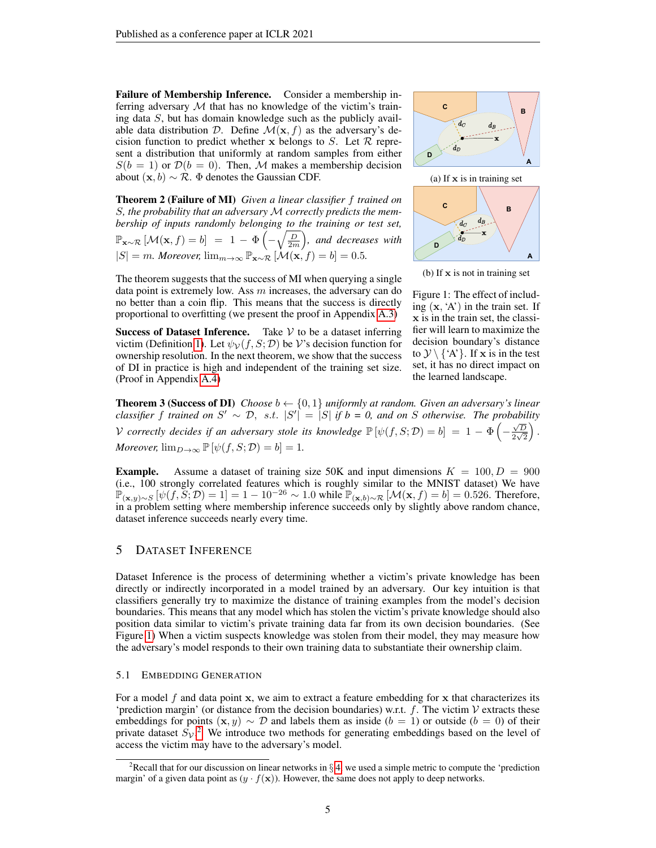Failure of Membership Inference. Consider a membership inferring adversary  $M$  that has no knowledge of the victim's training data S, but has domain knowledge such as the publicly available data distribution D. Define  $\mathcal{M}(\mathbf{x}, f)$  as the adversary's decision function to predict whether x belongs to S. Let  $R$  represent a distribution that uniformly at random samples from either  $S(b = 1)$  or  $\mathcal{D}(b = 0)$ . Then, M makes a membership decision about  $(\mathbf{x}, b) \sim \mathcal{R}$ .  $\Phi$  denotes the Gaussian CDF.

Theorem 2 (Failure of MI) *Given a linear classifier* f *trained on* S*, the probability that an adversary* M *correctly predicts the membership of inputs randomly belonging to the training or test set,*  $\mathbb{P}_{\mathbf{x} \sim \mathcal{R}} \left[ \mathcal{M}(\mathbf{x}, f) = b \right] = 1 - \Phi\left( -\sqrt{\frac{D}{2m}} \right)$ , and decreases with  $|S| = m$ *. Moreover,*  $\lim_{m \to \infty} \mathbb{P}_{\mathbf{x} \sim \mathcal{R}} [\mathcal{M}(\mathbf{x}, f)] = b] = 0.5$ *.* 

<span id="page-4-3"></span><span id="page-4-0"></span>

(b) If  $x$  is not in training set

The theorem suggests that the success of MI when querying a single data point is extremely low. Ass  $m$  increases, the adversary can do no better than a coin flip. This means that the success is directly proportional to overfitting (we present the proof in Appendix [A.3\)](#page-13-0)

Success of Dataset Inference. Take  $V$  to be a dataset inferring victim (Definition [1\)](#page-2-1). Let  $\psi_{\mathcal{V}}(f, S; \mathcal{D})$  be V's decision function for ownership resolution. In the next theorem, we show that the success of DI in practice is high and independent of the training set size. (Proof in Appendix [A.4\)](#page-15-0)

Figure 1: The effect of including  $(x, 'A')$  in the train set. If x is in the train set, the classifier will learn to maximize the decision boundary's distance to  $\mathcal{Y} \setminus \{A\}$ . If x is in the test set, it has no direct impact on the learned landscape.

<span id="page-4-4"></span>**Theorem 3 (Success of DI)** *Choose*  $b \leftarrow \{0, 1\}$  *uniformly at random. Given an adversary's linear classifier* f trained on  $S' \sim \mathcal{D}$ , s.t.  $|S'| = |S|$  if  $b = 0$ , and on S otherwise. The probability v *correctly decides if an adversary stole its knowledge*  $\mathbb{P}[\psi(f, S; \mathcal{D}) = b] = 1 - \Phi\left(-\frac{\sqrt{D}}{2\sqrt{5}}\right)$  $\frac{\sqrt{D}}{2\sqrt{2}}\Big)$  . *Moreover,*  $\lim_{D\to\infty} \mathbb{P}[\psi(f, S; \mathcal{D}) = b] = 1$ .

**Example.** Assume a dataset of training size 50K and input dimensions  $K = 100, D = 900$ (i.e., 100 strongly correlated features which is roughly similar to the MNIST dataset) We have  $\mathbb{P}_{(\mathbf{x},y)\sim S} [\psi(f, \mathbf{S}; \mathcal{D}) = 1] = 1 - 10^{-26} \sim 1.0 \text{ while } \mathbb{P}_{(\mathbf{x},b)\sim \mathcal{R}} [\mathcal{M}(\mathbf{x}, f) = b] = 0.526. \text{ Therefore,}$ in a problem setting where membership inference succeeds only by slightly above random chance, dataset inference succeeds nearly every time.

# 5 DATASET INFERENCE

Dataset Inference is the process of determining whether a victim's private knowledge has been directly or indirectly incorporated in a model trained by an adversary. Our key intuition is that classifiers generally try to maximize the distance of training examples from the model's decision boundaries. This means that any model which has stolen the victim's private knowledge should also position data similar to victim's private training data far from its own decision boundaries. (See Figure [1\)](#page-4-0) When a victim suspects knowledge was stolen from their model, they may measure how the adversary's model responds to their own training data to substantiate their ownership claim.

#### <span id="page-4-2"></span>5.1 EMBEDDING GENERATION

For a model f and data point x, we aim to extract a feature embedding for x that characterizes its 'prediction margin' (or distance from the decision boundaries) w.r.t.  $f$ . The victim  $V$  extracts these embeddings for points  $(x, y) \sim \mathcal{D}$  and labels them as inside  $(b = 1)$  or outside  $(b = 0)$  of their private dataset  $S_v$ .<sup>[2](#page-4-1)</sup> We introduce two methods for generating embeddings based on the level of access the victim may have to the adversary's model.

<span id="page-4-1"></span><sup>&</sup>lt;sup>2</sup>Recall that for our discussion on linear networks in § [4,](#page-3-0) we used a simple metric to compute the 'prediction margin' of a given data point as  $(y \cdot f(\mathbf{x}))$ . However, the same does not apply to deep networks.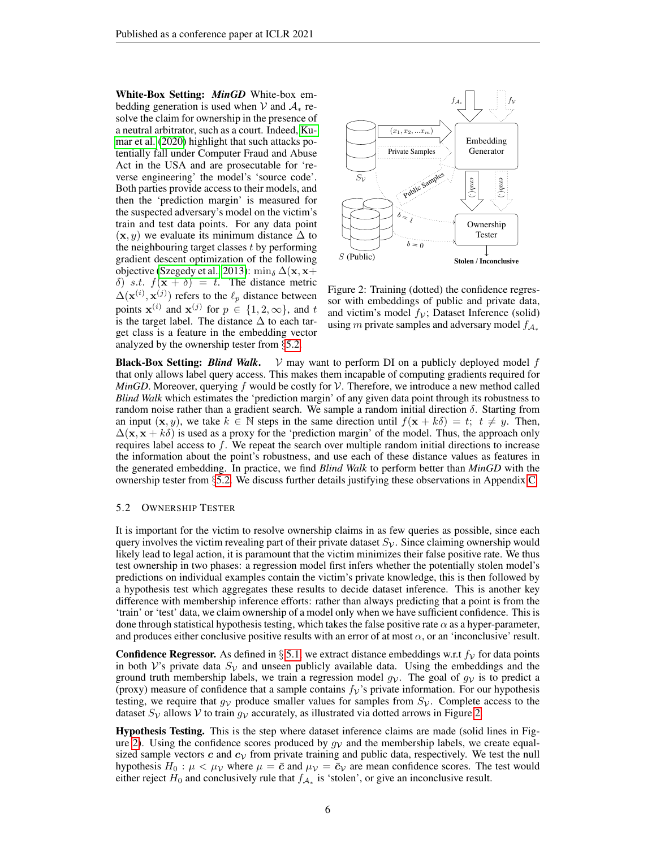White-Box Setting: *MinGD* White-box embedding generation is used when V and  $A_*$  resolve the claim for ownership in the presence of a neutral arbitrator, such as a court. Indeed, [Ku](#page-10-13)[mar et al.](#page-10-13) [\(2020\)](#page-10-13) highlight that such attacks potentially fall under Computer Fraud and Abuse Act in the USA and are prosecutable for 'reverse engineering' the model's 'source code'. Both parties provide access to their models, and then the 'prediction margin' is measured for the suspected adversary's model on the victim's train and test data points. For any data point  $(x, y)$  we evaluate its minimum distance  $\Delta$  to the neighbouring target classes  $t$  by performing gradient descent optimization of the following objective [\(Szegedy et al., 2013\)](#page-11-9): min<sub>δ</sub>  $\Delta(\mathbf{x}, \mathbf{x}+)$ δ) s.t.  $f(\mathbf{x} + \delta) = t$ . The distance metric  $\Delta(\mathbf{x}^{(i)}, \mathbf{x}^{(j)})$  refers to the  $\ell_p$  distance between points  $\mathbf{x}^{(i)}$  and  $\mathbf{x}^{(j)}$  for  $p \in \{1, 2, \infty\}$ , and t is the target label. The distance  $\Delta$  to each target class is a feature in the embedding vector analyzed by the ownership tester from §[5.2.](#page-5-0)

<span id="page-5-1"></span>

Figure 2: Training (dotted) the confidence regressor with embeddings of public and private data, and victim's model  $f_{\mathcal{V}}$ ; Dataset Inference (solid) using m private samples and adversary model  $f_{A_*}$ 

**Black-Box Setting:** *Blind Walk.*  $V$  may want to perform DI on a publicly deployed model f that only allows label query access. This makes them incapable of computing gradients required for *MinGD*. Moreover, querying f would be costly for  $V$ . Therefore, we introduce a new method called *Blind Walk* which estimates the 'prediction margin' of any given data point through its robustness to random noise rather than a gradient search. We sample a random initial direction  $\delta$ . Starting from an input  $(x, y)$ , we take  $k \in \mathbb{N}$  steps in the same direction until  $f(x + k\delta) = t$ ;  $t \neq y$ . Then,  $\Delta(\mathbf{x}, \mathbf{x} + k\delta)$  is used as a proxy for the 'prediction margin' of the model. Thus, the approach only requires label access to  $f$ . We repeat the search over multiple random initial directions to increase the information about the point's robustness, and use each of these distance values as features in the generated embedding. In practice, we find *Blind Walk* to perform better than *MinGD* with the ownership tester from §[5.2.](#page-5-0) We discuss further details justifying these observations in Appendix [C.](#page-17-0)

#### <span id="page-5-0"></span>5.2 OWNERSHIP TESTER

It is important for the victim to resolve ownership claims in as few queries as possible, since each query involves the victim revealing part of their private dataset  $S_{\mathcal{V}}$ . Since claiming ownership would likely lead to legal action, it is paramount that the victim minimizes their false positive rate. We thus test ownership in two phases: a regression model first infers whether the potentially stolen model's predictions on individual examples contain the victim's private knowledge, this is then followed by a hypothesis test which aggregates these results to decide dataset inference. This is another key difference with membership inference efforts: rather than always predicting that a point is from the 'train' or 'test' data, we claim ownership of a model only when we have sufficient confidence. This is done through statistical hypothesis testing, which takes the false positive rate  $\alpha$  as a hyper-parameter, and produces either conclusive positive results with an error of at most  $\alpha$ , or an 'inconclusive' result.

**Confidence Regressor.** As defined in § [5.1,](#page-4-2) we extract distance embeddings w.r.t  $f_V$  for data points in both V's private data  $S_{\mathcal{V}}$  and unseen publicly available data. Using the embeddings and the ground truth membership labels, we train a regression model  $g<sub>V</sub>$ . The goal of  $g<sub>V</sub>$  is to predict a (proxy) measure of confidence that a sample contains  $f_V$ 's private information. For our hypothesis testing, we require that  $g_V$  produce smaller values for samples from  $S_V$ . Complete access to the dataset  $S_V$  allows V to train  $g_V$  accurately, as illustrated via dotted arrows in Figure [2.](#page-5-1)

Hypothesis Testing. This is the step where dataset inference claims are made (solid lines in Fig-ure [2\)](#page-5-1). Using the confidence scores produced by  $q_V$  and the membership labels, we create equalsized sample vectors  $c$  and  $c<sub>V</sub>$  from private training and public data, respectively. We test the null hypothesis  $H_0: \mu < \mu$  where  $\mu = \bar{c}$  and  $\mu$   $\bar{v} = \bar{c}$  are mean confidence scores. The test would either reject  $H_0$  and conclusively rule that  $f_{A_*}$  is 'stolen', or give an inconclusive result.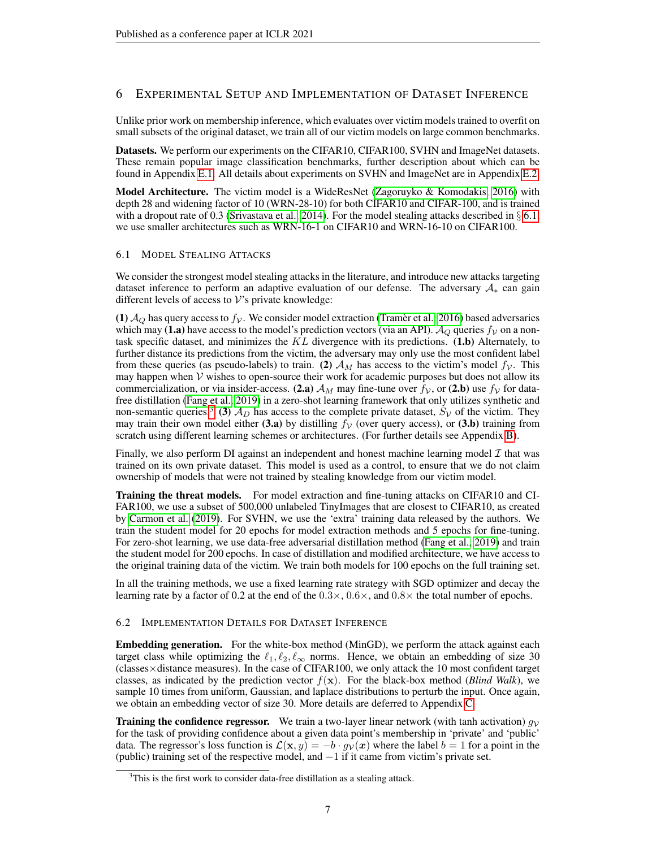# 6 EXPERIMENTAL SETUP AND IMPLEMENTATION OF DATASET INFERENCE

Unlike prior work on membership inference, which evaluates over victim models trained to overfit on small subsets of the original dataset, we train all of our victim models on large common benchmarks.

Datasets. We perform our experiments on the CIFAR10, CIFAR100, SVHN and ImageNet datasets. These remain popular image classification benchmarks, further description about which can be found in Appendix [E.1.](#page-18-0) All details about experiments on SVHN and ImageNet are in Appendix [E.2.](#page-19-0)

Model Architecture. The victim model is a WideResNet [\(Zagoruyko & Komodakis, 2016\)](#page-11-10) with depth 28 and widening factor of 10 (WRN-28-10) for both CIFAR10 and CIFAR-100, and is trained with a dropout rate of 0.3 [\(Srivastava et al., 2014\)](#page-11-11). For the model stealing attacks described in  $\S 6.1$ , we use smaller architectures such as WRN-16-1 on CIFAR10 and WRN-16-10 on CIFAR100.

## <span id="page-6-0"></span>6.1 MODEL STEALING ATTACKS

We consider the strongest model stealing attacks in the literature, and introduce new attacks targeting dataset inference to perform an adaptive evaluation of our defense. The adversary  $A_*$  can gain different levels of access to  $V$ 's private knowledge:

(1)  $A_Q$  has query access to  $f_V$ . We consider model extraction [\(Tramer et al., 2016\)](#page-11-2) based adversaries which may (1.a) have access to the model's prediction vectors (via an API).  $A<sub>O</sub>$  queries  $f<sub>V</sub>$  on a nontask specific dataset, and minimizes the  $KL$  divergence with its predictions. (1.b) Alternately, to further distance its predictions from the victim, the adversary may only use the most confident label from these queries (as pseudo-labels) to train. (2)  $A_M$  has access to the victim's model  $f_V$ . This may happen when  $V$  wishes to open-source their work for academic purposes but does not allow its commercialization, or via insider-access. (2.a)  $\mathcal{A}_M$  may fine-tune over  $f_V$ , or (2.b) use  $f_V$  for datafree distillation [\(Fang et al., 2019\)](#page-9-2) in a zero-shot learning framework that only utilizes synthetic and non-semantic queries.<sup>[3](#page-6-1)</sup> (3)  $A_D$  has access to the complete private dataset,  $S_V$  of the victim. They may train their own model either (3.a) by distilling  $f_V$  (over query access), or (3.b) training from scratch using different learning schemes or architectures. (For further details see Appendix [B\)](#page-16-0).

Finally, we also perform DI against an independent and honest machine learning model  $\mathcal I$  that was trained on its own private dataset. This model is used as a control, to ensure that we do not claim ownership of models that were not trained by stealing knowledge from our victim model.

Training the threat models. For model extraction and fine-tuning attacks on CIFAR10 and CI-FAR100, we use a subset of 500,000 unlabeled TinyImages that are closest to CIFAR10, as created by [Carmon et al.](#page-9-13) [\(2019\)](#page-9-13). For SVHN, we use the 'extra' training data released by the authors. We train the student model for 20 epochs for model extraction methods and 5 epochs for fine-tuning. For zero-shot learning, we use data-free adversarial distillation method [\(Fang et al., 2019\)](#page-9-2) and train the student model for 200 epochs. In case of distillation and modified architecture, we have access to the original training data of the victim. We train both models for 100 epochs on the full training set.

In all the training methods, we use a fixed learning rate strategy with SGD optimizer and decay the learning rate by a factor of 0.2 at the end of the  $0.3 \times, 0.6 \times,$  and  $0.8 \times$  the total number of epochs.

## 6.2 IMPLEMENTATION DETAILS FOR DATASET INFERENCE

Embedding generation. For the white-box method (MinGD), we perform the attack against each target class while optimizing the  $\ell_1, \ell_2, \ell_\infty$  norms. Hence, we obtain an embedding of size 30 (classes×distance measures). In the case of CIFAR100, we only attack the 10 most confident target classes, as indicated by the prediction vector  $f(x)$ . For the black-box method (*Blind Walk*), we sample 10 times from uniform, Gaussian, and laplace distributions to perturb the input. Once again, we obtain an embedding vector of size 30. More details are deferred to Appendix [C.](#page-17-0)

**Training the confidence regressor.** We train a two-layer linear network (with tanh activation)  $g_V$ for the task of providing confidence about a given data point's membership in 'private' and 'public' data. The regressor's loss function is  $\mathcal{L}(\mathbf{x}, y) = -b \cdot g_{\mathcal{V}}(\mathbf{x})$  where the label  $b = 1$  for a point in the (public) training set of the respective model, and  $-1$  if it came from victim's private set.

<span id="page-6-1"></span> $3$ This is the first work to consider data-free distillation as a stealing attack.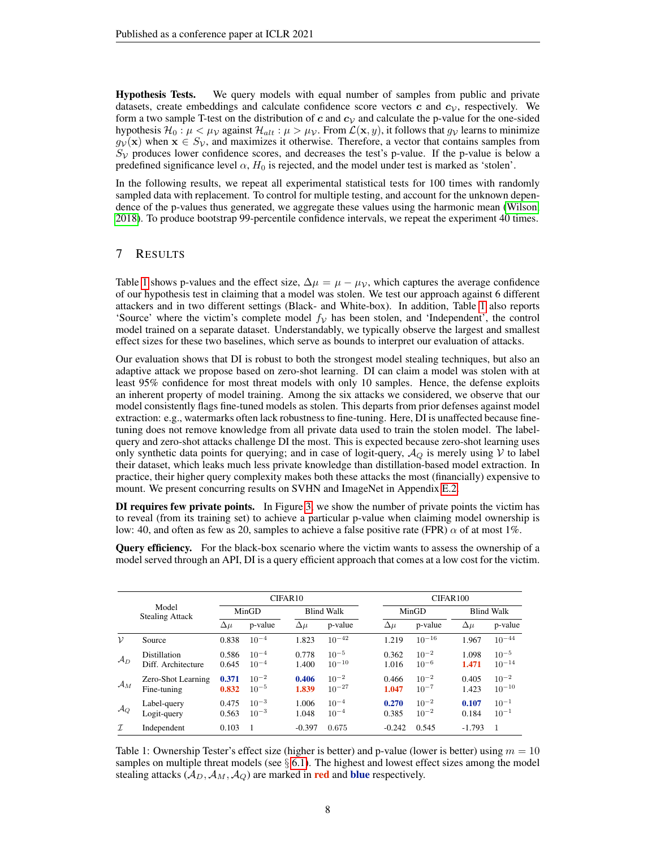Hypothesis Tests. We query models with equal number of samples from public and private datasets, create embeddings and calculate confidence score vectors c and  $c<sub>V</sub>$ , respectively. We form a two sample T-test on the distribution of c and  $c_V$  and calculate the p-value for the one-sided hypothesis  $\mathcal{H}_0 : \mu < \mu_{\mathcal{V}}$  against  $\mathcal{H}_{alt} : \mu > \mu_{\mathcal{V}}$ . From  $\mathcal{L}(\mathbf{x}, y)$ , it follows that  $g_{\mathcal{V}}$  learns to minimize  $g<sub>V</sub>(x)$  when  $x \in S<sub>V</sub>$ , and maximizes it otherwise. Therefore, a vector that contains samples from  $S_V$  produces lower confidence scores, and decreases the test's p-value. If the p-value is below a predefined significance level  $\alpha$ ,  $H_0$  is rejected, and the model under test is marked as 'stolen'.

In the following results, we repeat all experimental statistical tests for 100 times with randomly sampled data with replacement. To control for multiple testing, and account for the unknown dependence of the p-values thus generated, we aggregate these values using the harmonic mean [\(Wilson,](#page-11-12) [2018\)](#page-11-12). To produce bootstrap 99-percentile confidence intervals, we repeat the experiment 40 times.

# <span id="page-7-0"></span>7 RESULTS

Table [1](#page-7-1) shows p-values and the effect size,  $\Delta \mu = \mu - \mu_{\mathcal{V}}$ , which captures the average confidence of our hypothesis test in claiming that a model was stolen. We test our approach against 6 different attackers and in two different settings (Black- and White-box). In addition, Table [1](#page-7-1) also reports 'Source' where the victim's complete model  $f<sub>V</sub>$  has been stolen, and 'Independent', the control model trained on a separate dataset. Understandably, we typically observe the largest and smallest effect sizes for these two baselines, which serve as bounds to interpret our evaluation of attacks.

Our evaluation shows that DI is robust to both the strongest model stealing techniques, but also an adaptive attack we propose based on zero-shot learning. DI can claim a model was stolen with at least 95% confidence for most threat models with only 10 samples. Hence, the defense exploits an inherent property of model training. Among the six attacks we considered, we observe that our model consistently flags fine-tuned models as stolen. This departs from prior defenses against model extraction: e.g., watermarks often lack robustness to fine-tuning. Here, DI is unaffected because finetuning does not remove knowledge from all private data used to train the stolen model. The labelquery and zero-shot attacks challenge DI the most. This is expected because zero-shot learning uses only synthetic data points for querying; and in case of logit-query,  $A_Q$  is merely using V to label their dataset, which leaks much less private knowledge than distillation-based model extraction. In practice, their higher query complexity makes both these attacks the most (financially) expensive to mount. We present concurring results on SVHN and ImageNet in Appendix [E.2.](#page-19-0)

DI requires few private points. In Figure [3,](#page-8-0) we show the number of private points the victim has to reveal (from its training set) to achieve a particular p-value when claiming model ownership is low: 40, and often as few as 20, samples to achieve a false positive rate (FPR)  $\alpha$  of at most 1%.

Query efficiency. For the black-box scenario where the victim wants to assess the ownership of a model served through an API, DI is a query efficient approach that comes at a low cost for the victim.

<span id="page-7-1"></span>

|                 |                                    | CIFAR <sub>10</sub> |                        |                   | CIFAR100                |                |                        |                   |                         |
|-----------------|------------------------------------|---------------------|------------------------|-------------------|-------------------------|----------------|------------------------|-------------------|-------------------------|
|                 | Model<br><b>Stealing Attack</b>    | MinGD               |                        | <b>Blind Walk</b> |                         | MinGD          |                        | <b>Blind Walk</b> |                         |
|                 |                                    | $\Delta \mu$        | p-value                | $\Delta \mu$      | p-value                 | $\Delta \mu$   | p-value                | $\Delta \mu$      | p-value                 |
| ν               | Source                             | 0.838               | $10^{-4}$              | 1.823             | $10^{-42}$              | 1.219          | $10^{-16}$             | 1.967             | $10^{-44}$              |
| $\mathcal{A}_D$ | Distillation<br>Diff. Architecture | 0.586<br>0.645      | $10^{-4}$<br>$10^{-4}$ | 0.778<br>1.400    | $10^{-5}$<br>$10^{-10}$ | 0.362<br>1.016 | $10^{-2}$<br>$10^{-6}$ | 1.098<br>1.471    | $10^{-5}$<br>$10^{-14}$ |
| $\mathcal{A}_M$ | Zero-Shot Learning<br>Fine-tuning  | 0.371<br>0.832      | $10^{-2}$<br>$10^{-5}$ | 0.406<br>1.839    | $10^{-2}$<br>$10^{-27}$ | 0.466<br>1.047 | $10^{-2}$<br>$10^{-7}$ | 0.405<br>1.423    | $10^{-2}$<br>$10^{-10}$ |
| $\mathcal{A}_Q$ | Label-query<br>Logit-query         | 0.475<br>0.563      | $10^{-3}$<br>$10^{-3}$ | 1.006<br>1.048    | $10^{-4}$<br>$10^{-4}$  | 0.270<br>0.385 | $10^{-2}$<br>$10^{-2}$ | 0.107<br>0.184    | $10^{-1}$<br>$10^{-1}$  |
| $\mathcal{I}$   | Independent                        | 0.103               |                        | $-0.397$          | 0.675                   | $-0.242$       | 0.545                  | $-1.793$          | $\overline{1}$          |

Table 1: Ownership Tester's effect size (higher is better) and p-value (lower is better) using  $m = 10$ samples on multiple threat models (see  $\S$  [6.1\)](#page-6-0). The highest and lowest effect sizes among the model stealing attacks  $(A_D, A_M, A_Q)$  are marked in **red** and **blue** respectively.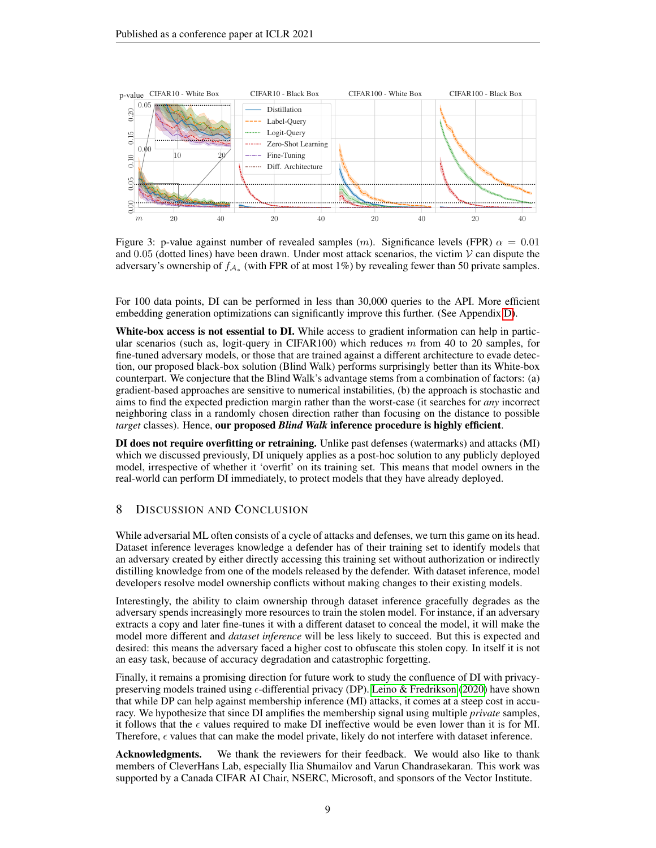<span id="page-8-0"></span>

Figure 3: p-value against number of revealed samples (m). Significance levels (FPR)  $\alpha = 0.01$ and 0.05 (dotted lines) have been drawn. Under most attack scenarios, the victim  $V$  can dispute the adversary's ownership of  $f_{A_*}$  (with FPR of at most 1%) by revealing fewer than 50 private samples.

For 100 data points, DI can be performed in less than 30,000 queries to the API. More efficient embedding generation optimizations can significantly improve this further. (See Appendix [D\)](#page-18-1).

White-box access is not essential to DI. While access to gradient information can help in particular scenarios (such as, logit-query in CIFAR100) which reduces  $m$  from 40 to 20 samples, for fine-tuned adversary models, or those that are trained against a different architecture to evade detection, our proposed black-box solution (Blind Walk) performs surprisingly better than its White-box counterpart. We conjecture that the Blind Walk's advantage stems from a combination of factors: (a) gradient-based approaches are sensitive to numerical instabilities, (b) the approach is stochastic and aims to find the expected prediction margin rather than the worst-case (it searches for *any* incorrect neighboring class in a randomly chosen direction rather than focusing on the distance to possible *target* classes). Hence, our proposed *Blind Walk* inference procedure is highly efficient.

DI does not require overfitting or retraining. Unlike past defenses (watermarks) and attacks (MI) which we discussed previously, DI uniquely applies as a post-hoc solution to any publicly deployed model, irrespective of whether it 'overfit' on its training set. This means that model owners in the real-world can perform DI immediately, to protect models that they have already deployed.

## 8 DISCUSSION AND CONCLUSION

While adversarial ML often consists of a cycle of attacks and defenses, we turn this game on its head. Dataset inference leverages knowledge a defender has of their training set to identify models that an adversary created by either directly accessing this training set without authorization or indirectly distilling knowledge from one of the models released by the defender. With dataset inference, model developers resolve model ownership conflicts without making changes to their existing models.

Interestingly, the ability to claim ownership through dataset inference gracefully degrades as the adversary spends increasingly more resources to train the stolen model. For instance, if an adversary extracts a copy and later fine-tunes it with a different dataset to conceal the model, it will make the model more different and *dataset inference* will be less likely to succeed. But this is expected and desired: this means the adversary faced a higher cost to obfuscate this stolen copy. In itself it is not an easy task, because of accuracy degradation and catastrophic forgetting.

Finally, it remains a promising direction for future work to study the confluence of DI with privacypreserving models trained using  $\epsilon$ -differential privacy (DP). [Leino & Fredrikson](#page-10-8) [\(2020\)](#page-10-8) have shown that while DP can help against membership inference (MI) attacks, it comes at a steep cost in accuracy. We hypothesize that since DI amplifies the membership signal using multiple *private* samples, it follows that the  $\epsilon$  values required to make DI ineffective would be even lower than it is for MI. Therefore,  $\epsilon$  values that can make the model private, likely do not interfere with dataset inference.

Acknowledgments. We thank the reviewers for their feedback. We would also like to thank members of CleverHans Lab, especially Ilia Shumailov and Varun Chandrasekaran. This work was supported by a Canada CIFAR AI Chair, NSERC, Microsoft, and sponsors of the Vector Institute.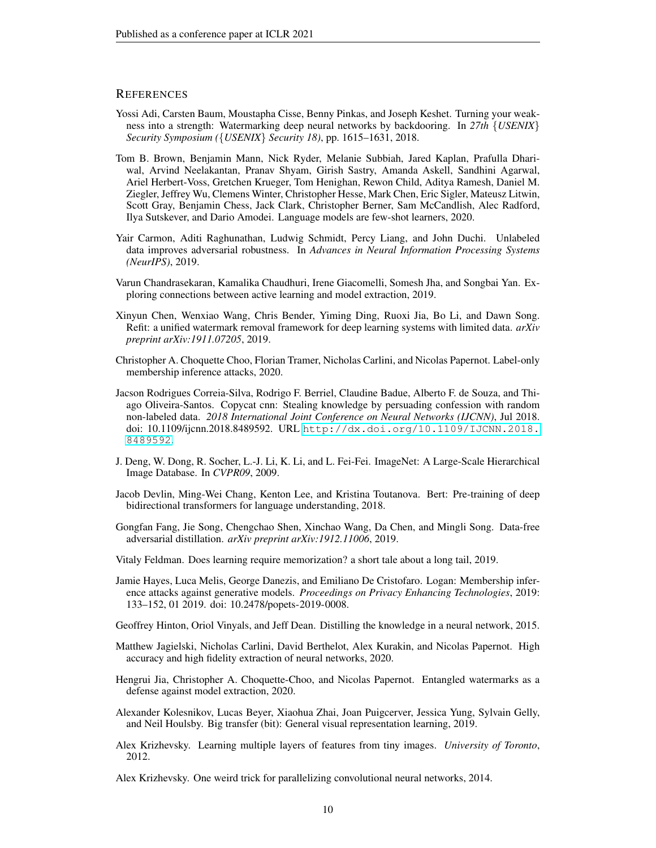## **REFERENCES**

- <span id="page-9-9"></span>Yossi Adi, Carsten Baum, Moustapha Cisse, Benny Pinkas, and Joseph Keshet. Turning your weakness into a strength: Watermarking deep neural networks by backdooring. In *27th* {*USENIX*} *Security Symposium (*{*USENIX*} *Security 18)*, pp. 1615–1631, 2018.
- <span id="page-9-0"></span>Tom B. Brown, Benjamin Mann, Nick Ryder, Melanie Subbiah, Jared Kaplan, Prafulla Dhariwal, Arvind Neelakantan, Pranav Shyam, Girish Sastry, Amanda Askell, Sandhini Agarwal, Ariel Herbert-Voss, Gretchen Krueger, Tom Henighan, Rewon Child, Aditya Ramesh, Daniel M. Ziegler, Jeffrey Wu, Clemens Winter, Christopher Hesse, Mark Chen, Eric Sigler, Mateusz Litwin, Scott Gray, Benjamin Chess, Jack Clark, Christopher Berner, Sam McCandlish, Alec Radford, Ilya Sutskever, and Dario Amodei. Language models are few-shot learners, 2020.
- <span id="page-9-13"></span>Yair Carmon, Aditi Raghunathan, Ludwig Schmidt, Percy Liang, and John Duchi. Unlabeled data improves adversarial robustness. In *Advances in Neural Information Processing Systems (NeurIPS)*, 2019.
- <span id="page-9-7"></span>Varun Chandrasekaran, Kamalika Chaudhuri, Irene Giacomelli, Somesh Jha, and Songbai Yan. Exploring connections between active learning and model extraction, 2019.
- <span id="page-9-10"></span>Xinyun Chen, Wenxiao Wang, Chris Bender, Yiming Ding, Ruoxi Jia, Bo Li, and Dawn Song. Refit: a unified watermark removal framework for deep learning systems with limited data. *arXiv preprint arXiv:1911.07205*, 2019.
- <span id="page-9-5"></span>Christopher A. Choquette Choo, Florian Tramer, Nicholas Carlini, and Nicolas Papernot. Label-only membership inference attacks, 2020.
- <span id="page-9-8"></span>Jacson Rodrigues Correia-Silva, Rodrigo F. Berriel, Claudine Badue, Alberto F. de Souza, and Thiago Oliveira-Santos. Copycat cnn: Stealing knowledge by persuading confession with random non-labeled data. *2018 International Joint Conference on Neural Networks (IJCNN)*, Jul 2018. doi: 10.1109/ijcnn.2018.8489592. URL [http://dx.doi.org/10.1109/IJCNN.2018.](http://dx.doi.org/10.1109/IJCNN.2018.8489592) [8489592](http://dx.doi.org/10.1109/IJCNN.2018.8489592).
- <span id="page-9-16"></span>J. Deng, W. Dong, R. Socher, L.-J. Li, K. Li, and L. Fei-Fei. ImageNet: A Large-Scale Hierarchical Image Database. In *CVPR09*, 2009.
- <span id="page-9-14"></span>Jacob Devlin, Ming-Wei Chang, Kenton Lee, and Kristina Toutanova. Bert: Pre-training of deep bidirectional transformers for language understanding, 2018.
- <span id="page-9-2"></span>Gongfan Fang, Jie Song, Chengchao Shen, Xinchao Wang, Da Chen, and Mingli Song. Data-free adversarial distillation. *arXiv preprint arXiv:1912.11006*, 2019.
- <span id="page-9-12"></span>Vitaly Feldman. Does learning require memorization? a short tale about a long tail, 2019.
- <span id="page-9-11"></span>Jamie Hayes, Luca Melis, George Danezis, and Emiliano De Cristofaro. Logan: Membership inference attacks against generative models. *Proceedings on Privacy Enhancing Technologies*, 2019: 133–152, 01 2019. doi: 10.2478/popets-2019-0008.
- <span id="page-9-3"></span>Geoffrey Hinton, Oriol Vinyals, and Jeff Dean. Distilling the knowledge in a neural network, 2015.
- <span id="page-9-6"></span>Matthew Jagielski, Nicholas Carlini, David Berthelot, Alex Kurakin, and Nicolas Papernot. High accuracy and high fidelity extraction of neural networks, 2020.
- <span id="page-9-4"></span>Hengrui Jia, Christopher A. Choquette-Choo, and Nicolas Papernot. Entangled watermarks as a defense against model extraction, 2020.
- <span id="page-9-1"></span>Alexander Kolesnikov, Lucas Beyer, Xiaohua Zhai, Joan Puigcerver, Jessica Yung, Sylvain Gelly, and Neil Houlsby. Big transfer (bit): General visual representation learning, 2019.
- <span id="page-9-15"></span>Alex Krizhevsky. Learning multiple layers of features from tiny images. *University of Toronto*, 2012.

<span id="page-9-17"></span>Alex Krizhevsky. One weird trick for parallelizing convolutional neural networks, 2014.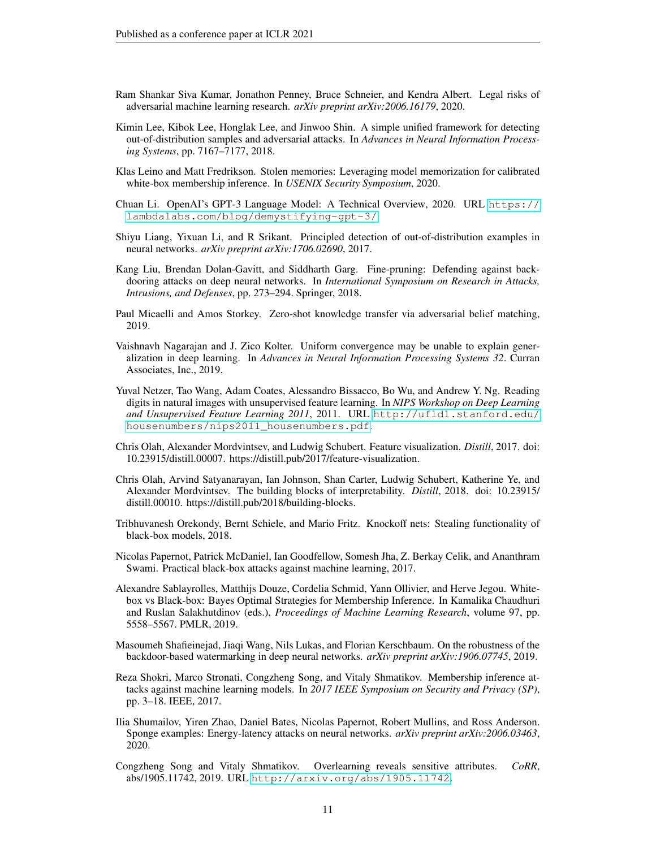- <span id="page-10-13"></span>Ram Shankar Siva Kumar, Jonathon Penney, Bruce Schneier, and Kendra Albert. Legal risks of adversarial machine learning research. *arXiv preprint arXiv:2006.16179*, 2020.
- <span id="page-10-11"></span>Kimin Lee, Kibok Lee, Honglak Lee, and Jinwoo Shin. A simple unified framework for detecting out-of-distribution samples and adversarial attacks. In *Advances in Neural Information Processing Systems*, pp. 7167–7177, 2018.
- <span id="page-10-8"></span>Klas Leino and Matt Fredrikson. Stolen memories: Leveraging model memorization for calibrated white-box membership inference. In *USENIX Security Symposium*, 2020.
- <span id="page-10-0"></span>Chuan Li. OpenAI's GPT-3 Language Model: A Technical Overview, 2020. URL [https://](https://lambdalabs.com/blog/demystifying-gpt-3/) [lambdalabs.com/blog/demystifying-gpt-3/](https://lambdalabs.com/blog/demystifying-gpt-3/).
- <span id="page-10-10"></span>Shiyu Liang, Yixuan Li, and R Srikant. Principled detection of out-of-distribution examples in neural networks. *arXiv preprint arXiv:1706.02690*, 2017.
- <span id="page-10-6"></span>Kang Liu, Brendan Dolan-Gavitt, and Siddharth Garg. Fine-pruning: Defending against backdooring attacks on deep neural networks. In *International Symposium on Research in Attacks, Intrusions, and Defenses*, pp. 273–294. Springer, 2018.
- <span id="page-10-16"></span>Paul Micaelli and Amos Storkey. Zero-shot knowledge transfer via adversarial belief matching, 2019.
- <span id="page-10-12"></span>Vaishnavh Nagarajan and J. Zico Kolter. Uniform convergence may be unable to explain generalization in deep learning. In *Advances in Neural Information Processing Systems 32*. Curran Associates, Inc., 2019.
- <span id="page-10-17"></span>Yuval Netzer, Tao Wang, Adam Coates, Alessandro Bissacco, Bo Wu, and Andrew Y. Ng. Reading digits in natural images with unsupervised feature learning. In *NIPS Workshop on Deep Learning and Unsupervised Feature Learning 2011*, 2011. URL [http://ufldl.stanford.edu/](http://ufldl.stanford.edu/housenumbers/nips2011_housenumbers.pdf) [housenumbers/nips2011\\_housenumbers.pdf](http://ufldl.stanford.edu/housenumbers/nips2011_housenumbers.pdf).
- <span id="page-10-14"></span>Chris Olah, Alexander Mordvintsev, and Ludwig Schubert. Feature visualization. *Distill*, 2017. doi: 10.23915/distill.00007. https://distill.pub/2017/feature-visualization.
- <span id="page-10-15"></span>Chris Olah, Arvind Satyanarayan, Ian Johnson, Shan Carter, Ludwig Schubert, Katherine Ye, and Alexander Mordvintsev. The building blocks of interpretability. *Distill*, 2018. doi: 10.23915/ distill.00010. https://distill.pub/2018/building-blocks.
- <span id="page-10-3"></span>Tribhuvanesh Orekondy, Bernt Schiele, and Mario Fritz. Knockoff nets: Stealing functionality of black-box models, 2018.
- <span id="page-10-4"></span>Nicolas Papernot, Patrick McDaniel, Ian Goodfellow, Somesh Jha, Z. Berkay Celik, and Ananthram Swami. Practical black-box attacks against machine learning, 2017.
- <span id="page-10-9"></span>Alexandre Sablayrolles, Matthijs Douze, Cordelia Schmid, Yann Ollivier, and Herve Jegou. Whitebox vs Black-box: Bayes Optimal Strategies for Membership Inference. In Kamalika Chaudhuri and Ruslan Salakhutdinov (eds.), *Proceedings of Machine Learning Research*, volume 97, pp. 5558–5567. PMLR, 2019.
- <span id="page-10-7"></span>Masoumeh Shafieinejad, Jiaqi Wang, Nils Lukas, and Florian Kerschbaum. On the robustness of the backdoor-based watermarking in deep neural networks. *arXiv preprint arXiv:1906.07745*, 2019.
- <span id="page-10-1"></span>Reza Shokri, Marco Stronati, Congzheng Song, and Vitaly Shmatikov. Membership inference attacks against machine learning models. In *2017 IEEE Symposium on Security and Privacy (SP)*, pp. 3–18. IEEE, 2017.
- <span id="page-10-5"></span>Ilia Shumailov, Yiren Zhao, Daniel Bates, Nicolas Papernot, Robert Mullins, and Ross Anderson. Sponge examples: Energy-latency attacks on neural networks. *arXiv preprint arXiv:2006.03463*, 2020.
- <span id="page-10-2"></span>Congzheng Song and Vitaly Shmatikov. Overlearning reveals sensitive attributes. *CoRR*, abs/1905.11742, 2019. URL <http://arxiv.org/abs/1905.11742>.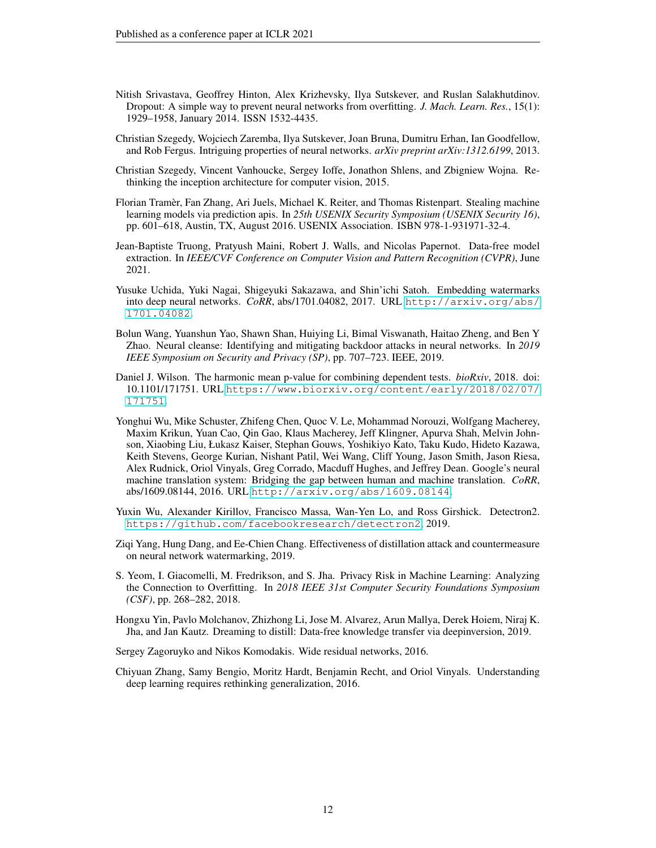- <span id="page-11-11"></span>Nitish Srivastava, Geoffrey Hinton, Alex Krizhevsky, Ilya Sutskever, and Ruslan Salakhutdinov. Dropout: A simple way to prevent neural networks from overfitting. *J. Mach. Learn. Res.*, 15(1): 1929–1958, January 2014. ISSN 1532-4435.
- <span id="page-11-9"></span>Christian Szegedy, Wojciech Zaremba, Ilya Sutskever, Joan Bruna, Dumitru Erhan, Ian Goodfellow, and Rob Fergus. Intriguing properties of neural networks. *arXiv preprint arXiv:1312.6199*, 2013.
- <span id="page-11-14"></span>Christian Szegedy, Vincent Vanhoucke, Sergey Ioffe, Jonathon Shlens, and Zbigniew Wojna. Rethinking the inception architecture for computer vision, 2015.
- <span id="page-11-2"></span>Florian Tramer, Fan Zhang, Ari Juels, Michael K. Reiter, and Thomas Ristenpart. Stealing machine ` learning models via prediction apis. In *25th USENIX Security Symposium (USENIX Security 16)*, pp. 601–618, Austin, TX, August 2016. USENIX Association. ISBN 978-1-931971-32-4.
- <span id="page-11-5"></span>Jean-Baptiste Truong, Pratyush Maini, Robert J. Walls, and Nicolas Papernot. Data-free model extraction. In *IEEE/CVF Conference on Computer Vision and Pattern Recognition (CVPR)*, June 2021.
- <span id="page-11-6"></span>Yusuke Uchida, Yuki Nagai, Shigeyuki Sakazawa, and Shin'ichi Satoh. Embedding watermarks into deep neural networks. *CoRR*, abs/1701.04082, 2017. URL [http://arxiv.org/abs/](http://arxiv.org/abs/1701.04082) [1701.04082](http://arxiv.org/abs/1701.04082).
- <span id="page-11-7"></span>Bolun Wang, Yuanshun Yao, Shawn Shan, Huiying Li, Bimal Viswanath, Haitao Zheng, and Ben Y Zhao. Neural cleanse: Identifying and mitigating backdoor attacks in neural networks. In *2019 IEEE Symposium on Security and Privacy (SP)*, pp. 707–723. IEEE, 2019.
- <span id="page-11-12"></span>Daniel J. Wilson. The harmonic mean p-value for combining dependent tests. *bioRxiv*, 2018. doi: 10.1101/171751. URL [https://www.biorxiv.org/content/early/2018/02/07/](https://www.biorxiv.org/content/early/2018/02/07/171751) [171751](https://www.biorxiv.org/content/early/2018/02/07/171751).
- <span id="page-11-0"></span>Yonghui Wu, Mike Schuster, Zhifeng Chen, Quoc V. Le, Mohammad Norouzi, Wolfgang Macherey, Maxim Krikun, Yuan Cao, Qin Gao, Klaus Macherey, Jeff Klingner, Apurva Shah, Melvin Johnson, Xiaobing Liu, Łukasz Kaiser, Stephan Gouws, Yoshikiyo Kato, Taku Kudo, Hideto Kazawa, Keith Stevens, George Kurian, Nishant Patil, Wei Wang, Cliff Young, Jason Smith, Jason Riesa, Alex Rudnick, Oriol Vinyals, Greg Corrado, Macduff Hughes, and Jeffrey Dean. Google's neural machine translation system: Bridging the gap between human and machine translation. *CoRR*, abs/1609.08144, 2016. URL <http://arxiv.org/abs/1609.08144>.
- <span id="page-11-1"></span>Yuxin Wu, Alexander Kirillov, Francisco Massa, Wan-Yen Lo, and Ross Girshick. Detectron2. <https://github.com/facebookresearch/detectron2>, 2019.
- <span id="page-11-3"></span>Ziqi Yang, Hung Dang, and Ee-Chien Chang. Effectiveness of distillation attack and countermeasure on neural network watermarking, 2019.
- <span id="page-11-4"></span>S. Yeom, I. Giacomelli, M. Fredrikson, and S. Jha. Privacy Risk in Machine Learning: Analyzing the Connection to Overfitting. In *2018 IEEE 31st Computer Security Foundations Symposium (CSF)*, pp. 268–282, 2018.
- <span id="page-11-13"></span>Hongxu Yin, Pavlo Molchanov, Zhizhong Li, Jose M. Alvarez, Arun Mallya, Derek Hoiem, Niraj K. Jha, and Jan Kautz. Dreaming to distill: Data-free knowledge transfer via deepinversion, 2019.

<span id="page-11-10"></span>Sergey Zagoruyko and Nikos Komodakis. Wide residual networks, 2016.

<span id="page-11-8"></span>Chiyuan Zhang, Samy Bengio, Moritz Hardt, Benjamin Recht, and Oriol Vinyals. Understanding deep learning requires rethinking generalization, 2016.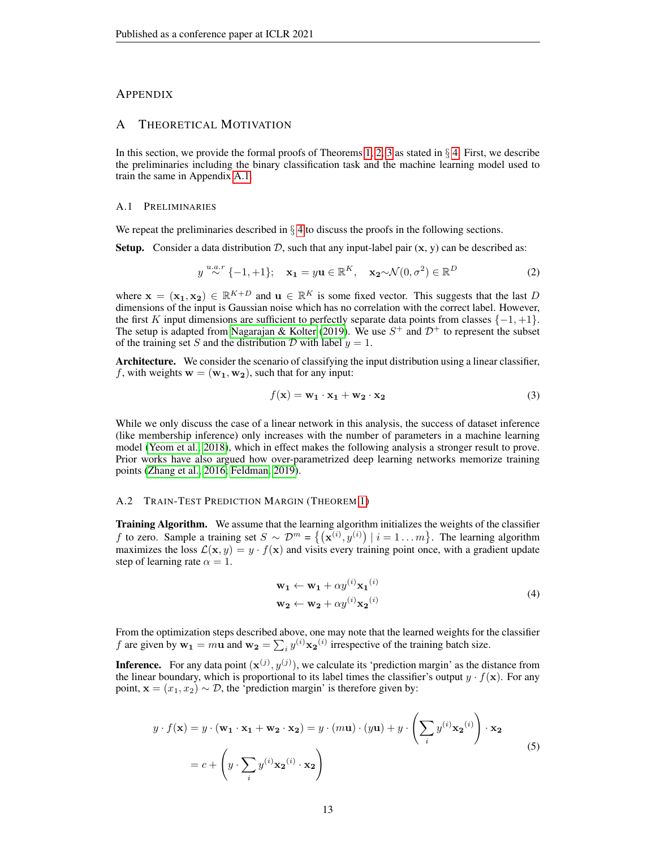## APPENDIX

#### A THEORETICAL MOTIVATION

In this section, we provide the formal proofs of Theorems [1,](#page-3-4) [2,](#page-4-3) [3](#page-4-4) as stated in  $\S$  [4.](#page-3-0) First, we describe the preliminaries including the binary classification task and the machine learning model used to train the same in Appendix [A.1.](#page-12-1)

#### <span id="page-12-1"></span>A.1 PRELIMINARIES

We repeat the preliminaries described in  $\S$  [4](#page-3-0) to discuss the proofs in the following sections.

**Setup.** Consider a data distribution D, such that any input-label pair  $(x, y)$  can be described as:

$$
y \stackrel{u.a.r}{\sim} \{-1,+1\}; \quad \mathbf{x_1} = y\mathbf{u} \in \mathbb{R}^K, \quad \mathbf{x_2} \sim \mathcal{N}(0,\sigma^2) \in \mathbb{R}^D \tag{2}
$$

where  $\mathbf{x} = (\mathbf{x_1}, \mathbf{x_2}) \in \mathbb{R}^{K+D}$  and  $\mathbf{u} \in \mathbb{R}^K$  is some fixed vector. This suggests that the last D dimensions of the input is Gaussian noise which has no correlation with the correct label. However, the first K input dimensions are sufficient to perfectly separate data points from classes  $\{-1, +1\}$ . The setup is adapted from [Nagarajan & Kolter](#page-10-12) [\(2019\)](#page-10-12). We use  $S^+$  and  $\mathcal{D}^+$  to represent the subset of the training set S and the distribution D with label  $y = 1$ .

Architecture. We consider the scenario of classifying the input distribution using a linear classifier, f, with weights  $\mathbf{w} = (\mathbf{w_1}, \mathbf{w_2})$ , such that for any input:

$$
f(\mathbf{x}) = \mathbf{w_1} \cdot \mathbf{x_1} + \mathbf{w_2} \cdot \mathbf{x_2} \tag{3}
$$

While we only discuss the case of a linear network in this analysis, the success of dataset inference (like membership inference) only increases with the number of parameters in a machine learning model [\(Yeom et al., 2018\)](#page-11-4), which in effect makes the following analysis a stronger result to prove. Prior works have also argued how over-parametrized deep learning networks memorize training points [\(Zhang et al., 2016;](#page-11-8) [Feldman, 2019\)](#page-9-12).

#### <span id="page-12-0"></span>A.2 TRAIN-TEST PREDICTION MARGIN (THEOREM [1\)](#page-3-4)

Training Algorithm. We assume that the learning algorithm initializes the weights of the classifier f to zero. Sample a training set  $S \sim \mathcal{D}^m = \{(\mathbf{x}^{(i)}, y^{(i)}) \mid i = 1 \dots m\}$ . The learning algorithm maximizes the loss  $\mathcal{L}(\mathbf{x}, y) = y \cdot f(\mathbf{x})$  and visits every training point once, with a gradient update step of learning rate  $\alpha = 1$ .

$$
\mathbf{w_1} \leftarrow \mathbf{w_1} + \alpha y^{(i)} \mathbf{x_1}^{(i)}
$$
  
\n
$$
\mathbf{w_2} \leftarrow \mathbf{w_2} + \alpha y^{(i)} \mathbf{x_2}^{(i)}
$$
\n(4)

From the optimization steps described above, one may note that the learned weights for the classifier f are given by  $w_1 = m u$  and  $w_2 = \sum_i y^{(i)} x_2^{(i)}$  irrespective of the training batch size.

**Inference.** For any data point  $(\mathbf{x}^{(j)}, y^{(j)})$ , we calculate its 'prediction margin' as the distance from the linear boundary, which is proportional to its label times the classifier's output  $y \cdot f(\mathbf{x})$ . For any point,  $\mathbf{x} = (x_1, x_2) \sim \mathcal{D}$ , the 'prediction margin' is therefore given by:

$$
y \cdot f(\mathbf{x}) = y \cdot (\mathbf{w_1} \cdot \mathbf{x_1} + \mathbf{w_2} \cdot \mathbf{x_2}) = y \cdot (m\mathbf{u}) \cdot (y\mathbf{u}) + y \cdot \left(\sum_i y^{(i)} \mathbf{x_2}^{(i)}\right) \cdot \mathbf{x_2}
$$
  
=  $c + \left(y \cdot \sum_i y^{(i)} \mathbf{x_2}^{(i)} \cdot \mathbf{x_2}\right)$  (5)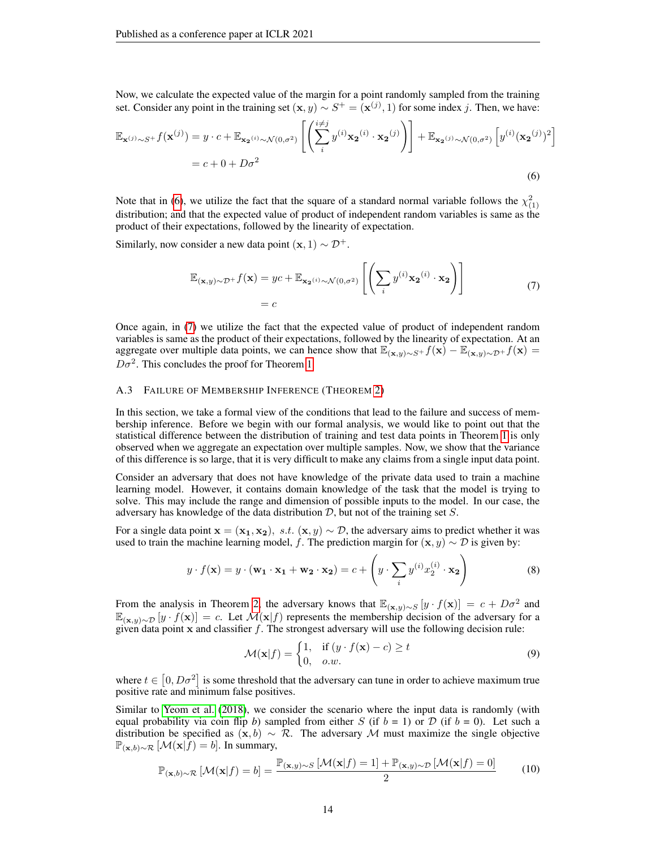Now, we calculate the expected value of the margin for a point randomly sampled from the training set. Consider any point in the training set  $(\mathbf{x}, y) \sim S^+ = (\mathbf{x}^{(j)}, 1)$  for some index j. Then, we have:

$$
\mathbb{E}_{\mathbf{x}^{(j)} \sim S^{+}} f(\mathbf{x}^{(j)}) = y \cdot c + \mathbb{E}_{\mathbf{x}_{2}^{(i)} \sim \mathcal{N}(0, \sigma^{2})} \left[ \left( \sum_{i}^{i \neq j} y^{(i)} \mathbf{x}_{2}^{(i)} \cdot \mathbf{x}_{2}^{(j)} \right) \right] + \mathbb{E}_{\mathbf{x}_{2}^{(j)} \sim \mathcal{N}(0, \sigma^{2})} \left[ y^{(i)} (\mathbf{x}_{2}^{(j)})^{2} \right]
$$

$$
= c + 0 + D\sigma^{2}
$$
(6)

Note that in [\(6\)](#page-13-1), we utilize the fact that the square of a standard normal variable follows the  $\chi^2_{(1)}$ distribution; and that the expected value of product of independent random variables is same as the product of their expectations, followed by the linearity of expectation.

Similarly, now consider a new data point  $(x, 1) \sim \mathcal{D}^+$ .

<span id="page-13-2"></span><span id="page-13-1"></span>
$$
\mathbb{E}_{(\mathbf{x},y)\sim\mathcal{D}^{+}}f(\mathbf{x}) = yc + \mathbb{E}_{\mathbf{x}_{2}(i)\sim\mathcal{N}(0,\sigma^{2})}\left[\left(\sum_{i} y^{(i)} \mathbf{x}_{2}^{(i)} \cdot \mathbf{x}_{2}\right)\right]
$$
\n
$$
= c \tag{7}
$$

Once again, in [\(7\)](#page-13-2) we utilize the fact that the expected value of product of independent random variables is same as the product of their expectations, followed by the linearity of expectation. At an aggregate over multiple data points, we can hence show that  $\mathbb{E}_{(x,y)\sim S^+} f(x) - \mathbb{E}_{(x,y)\sim D^+} f(x) =$  $D\sigma^2$ . This concludes the proof for Theorem [1.](#page-3-4)

#### <span id="page-13-0"></span>A.3 FAILURE OF MEMBERSHIP INFERENCE (THEOREM [2\)](#page-4-3)

In this section, we take a formal view of the conditions that lead to the failure and success of membership inference. Before we begin with our formal analysis, we would like to point out that the statistical difference between the distribution of training and test data points in Theorem [1](#page-3-4) is only observed when we aggregate an expectation over multiple samples. Now, we show that the variance of this difference is so large, that it is very difficult to make any claims from a single input data point.

Consider an adversary that does not have knowledge of the private data used to train a machine learning model. However, it contains domain knowledge of the task that the model is trying to solve. This may include the range and dimension of possible inputs to the model. In our case, the adversary has knowledge of the data distribution  $D$ , but not of the training set  $S$ .

For a single data point  $\mathbf{x} = (\mathbf{x_1}, \mathbf{x_2}), s.t. (\mathbf{x}, y) \sim \mathcal{D}$ , the adversary aims to predict whether it was used to train the machine learning model, f. The prediction margin for  $(\mathbf{x}, y) \sim \mathcal{D}$  is given by:

$$
y \cdot f(\mathbf{x}) = y \cdot (\mathbf{w_1} \cdot \mathbf{x_1} + \mathbf{w_2} \cdot \mathbf{x_2}) = c + \left( y \cdot \sum_{i} y^{(i)} x_2^{(i)} \cdot \mathbf{x_2} \right)
$$
(8)

From the analysis in Theorem [2,](#page-4-3) the adversary knows that  $\mathbb{E}_{(\mathbf{x},y)\sim S}[y \cdot f(\mathbf{x})] = c + D\sigma^2$  and  $\mathbb{E}_{(\mathbf{x},y)\sim\mathcal{D}}[y \cdot f(\mathbf{x})] = c$ . Let  $\mathcal{M}(\mathbf{x}|f)$  represents the membership decision of the adversary for a given data point  $x$  and classifier  $f$ . The strongest adversary will use the following decision rule:

<span id="page-13-3"></span>
$$
\mathcal{M}(\mathbf{x}|f) = \begin{cases} 1, & \text{if } (y \cdot f(\mathbf{x}) - c) \ge t \\ 0, & o.w. \end{cases}
$$
(9)

where  $t \in [0, D\sigma^2]$  is some threshold that the adversary can tune in order to achieve maximum true positive rate and minimum false positives.

Similar to [Yeom et al.](#page-11-4) [\(2018\)](#page-11-4), we consider the scenario where the input data is randomly (with equal probability via coin flip *b*) sampled from either S (if  $b = 1$ ) or D (if  $b = 0$ ). Let such a distribution be specified as  $(x, b) \sim \mathcal{R}$ . The adversary M must maximize the single objective  $\mathbb{P}_{(\mathbf{x},b)\sim\mathcal{R}}\left[\mathcal{M}(\mathbf{x}|f)=b\right]$ . In summary,

$$
\mathbb{P}_{(\mathbf{x},b)\sim\mathcal{R}}\left[\mathcal{M}(\mathbf{x}|f)=b\right]=\frac{\mathbb{P}_{(\mathbf{x},y)\sim S}\left[\mathcal{M}(\mathbf{x}|f)=1\right]+\mathbb{P}_{(\mathbf{x},y)\sim\mathcal{D}}\left[\mathcal{M}(\mathbf{x}|f)=0\right]}{2}
$$
(10)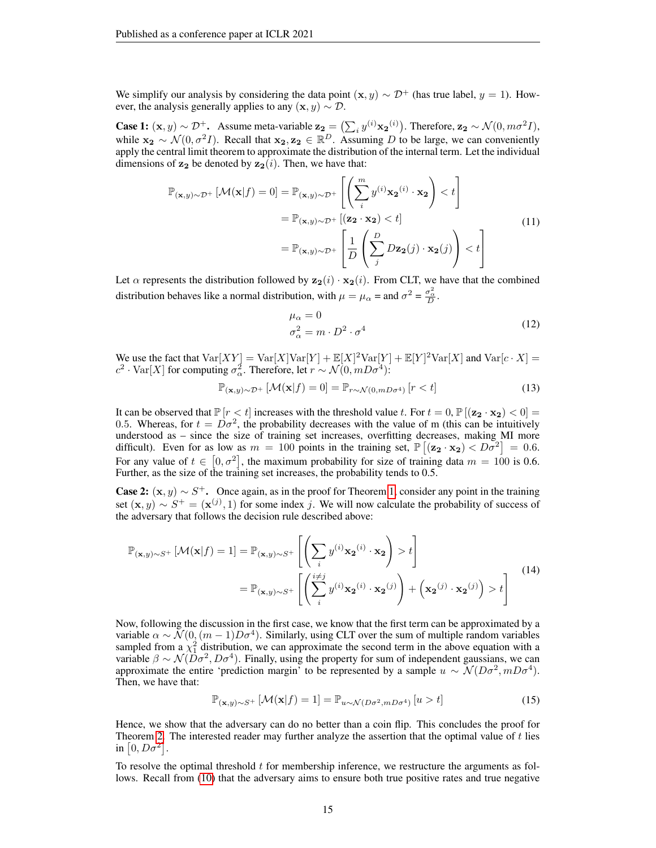We simplify our analysis by considering the data point  $(x, y) \sim \mathcal{D}^+$  (has true label,  $y = 1$ ). However, the analysis generally applies to any  $(x, y) \sim \mathcal{D}$ .

**Case 1:**  $(\mathbf{x}, y) \sim \mathcal{D}^+$ . Assume meta-variable  $\mathbf{z_2} = (\sum_i y^{(i)} \mathbf{x_2}^{(i)})$ . Therefore,  $\mathbf{z_2} \sim \mathcal{N}(0, m\sigma^2 I)$ , while  $x_2 \sim \mathcal{N}(0, \sigma^2 I)$ . Recall that  $x_2, z_2 \in \mathbb{R}^D$ . Assuming D to be large, we can conveniently apply the central limit theorem to approximate the distribution of the internal term. Let the individual dimensions of  $z_2$  be denoted by  $z_2(i)$ . Then, we have that:

$$
\mathbb{P}_{(\mathbf{x},y)\sim\mathcal{D}^+}[\mathcal{M}(\mathbf{x}|f) = 0] = \mathbb{P}_{(\mathbf{x},y)\sim\mathcal{D}^+} \left[ \left( \sum_{i}^{m} y^{(i)} \mathbf{x_2}^{(i)} \cdot \mathbf{x_2} \right) < t \right]
$$
\n
$$
= \mathbb{P}_{(\mathbf{x},y)\sim\mathcal{D}^+} \left[ (\mathbf{z_2} \cdot \mathbf{x_2}) < t \right]
$$
\n
$$
= \mathbb{P}_{(\mathbf{x},y)\sim\mathcal{D}^+} \left[ \frac{1}{D} \left( \sum_{j}^{D} D\mathbf{z_2}(j) \cdot \mathbf{x_2}(j) \right) < t \right]
$$
\n
$$
(11)
$$

Let  $\alpha$  represents the distribution followed by  $z_2(i) \cdot x_2(i)$ . From CLT, we have that the combined distribution behaves like a normal distribution, with  $\mu = \mu_\alpha = \text{and } \sigma^2 = \frac{\sigma_\alpha^2}{D}$ .

$$
\mu_{\alpha} = 0
$$
  
\n
$$
\sigma_{\alpha}^{2} = m \cdot D^{2} \cdot \sigma^{4}
$$
\n(12)

We use the fact that  $Var[XY] = Var[X]Var[Y] + \mathbb{E}[X]^2Var[Y] + \mathbb{E}[Y]^2Var[X]$  and  $Var[c \cdot X] =$  $c^2 \cdot \text{Var}[X]$  for computing  $\sigma_{\alpha}^2$ . Therefore, let  $r \sim \mathcal{N}(0, mD\sigma^4)$ :

$$
\mathbb{P}_{(\mathbf{x},y)\sim\mathcal{D}^+}\left[\mathcal{M}(\mathbf{x}|f)=0\right] = \mathbb{P}_{r\sim\mathcal{N}(0,mD\sigma^4)}\left[r < t\right]
$$
\n(13)

It can be observed that  $\mathbb{P}[r < t]$  increases with the threshold value t. For  $t = 0$ ,  $\mathbb{P}[(z_2 \cdot x_2) < 0] =$ 0.5. Whereas, for  $t = D\sigma^2$ , the probability decreases with the value of m (this can be intuitively understood as – since the size of training set increases, overfitting decreases, making MI more difficult). Even for as low as  $m = 100$  points in the training set,  $\mathbb{P}[(\mathbf{z_2} \cdot \mathbf{x_2}) \langle D\sigma^2] = 0.6$ . For any value of  $t \in [0, \sigma^2]$ , the maximum probability for size of training data  $m = 100$  is 0.6. Further, as the size of the training set increases, the probability tends to  $0.5$ .

**Case 2:**  $(x, y) \sim S^{+}$ . Once again, as in the proof for Theorem [1,](#page-3-4) consider any point in the training set  $(\mathbf{x}, y) \sim S^+ = (\mathbf{x}^{(j)}, 1)$  for some index j. We will now calculate the probability of success of the adversary that follows the decision rule described above:

$$
\mathbb{P}_{(\mathbf{x},y)\sim S^{+}}\left[\mathcal{M}(\mathbf{x}|f) = 1\right] = \mathbb{P}_{(\mathbf{x},y)\sim S^{+}}\left[\left(\sum_{i} y^{(i)} \mathbf{x_2}^{(i)} \cdot \mathbf{x_2}\right) > t\right]
$$
\n
$$
= \mathbb{P}_{(\mathbf{x},y)\sim S^{+}}\left[\left(\sum_{i}^{i \neq j} y^{(i)} \mathbf{x_2}^{(i)} \cdot \mathbf{x_2}^{(j)}\right) + \left(\mathbf{x_2}^{(j)} \cdot \mathbf{x_2}^{(j)}\right) > t\right]
$$
\n(14)

Now, following the discussion in the first case, we know that the first term can be approximated by a variable  $\alpha \sim \mathcal{N}(0, (m-1)D\sigma^4)$ . Similarly, using CLT over the sum of multiple random variables sampled from a  $\chi^2$  distribution, we can approximate the second term in the above equation with a variable  $\beta \sim \mathcal{N}(\bar{D}\sigma^2, D\sigma^4)$ . Finally, using the property for sum of independent gaussians, we can approximate the entire 'prediction margin' to be represented by a sample  $u \sim \mathcal{N}(D\sigma^2, mD\sigma^4)$ . Then, we have that:

$$
\mathbb{P}_{(\mathbf{x},y)\sim S^{+}}\left[\mathcal{M}(\mathbf{x}|f)=1\right]=\mathbb{P}_{u\sim\mathcal{N}(D\sigma^{2},mD\sigma^{4})}\left[u>t\right]
$$
\n(15)

Hence, we show that the adversary can do no better than a coin flip. This concludes the proof for Theorem [2.](#page-4-3) The interested reader may further analyze the assertion that the optimal value of  $t$  lies in  $[0, D\sigma^2]$ .

To resolve the optimal threshold  $t$  for membership inference, we restructure the arguments as follows. Recall from [\(10\)](#page-13-3) that the adversary aims to ensure both true positive rates and true negative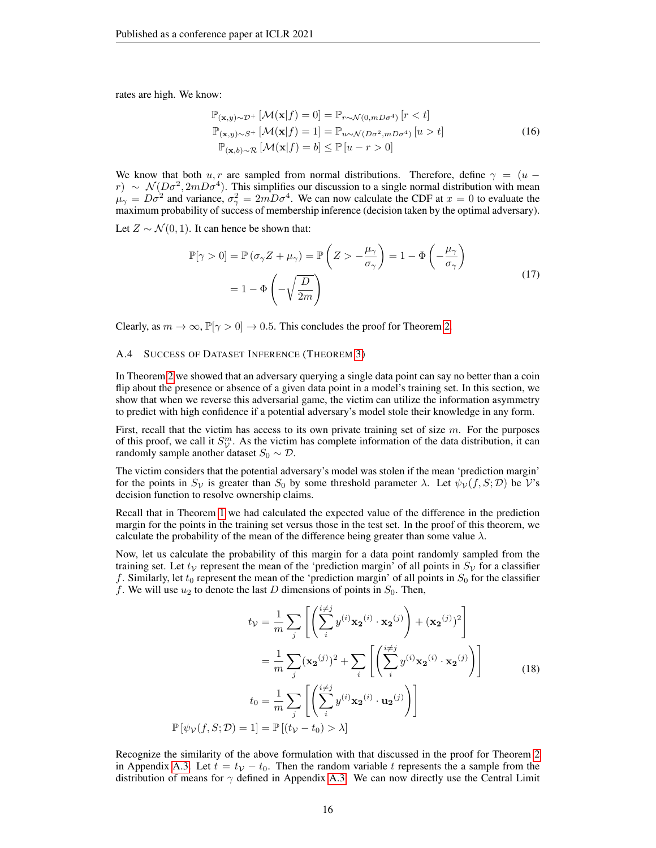rates are high. We know:

$$
\mathbb{P}_{(\mathbf{x},y)\sim\mathcal{D}^+}[\mathcal{M}(\mathbf{x}|f) = 0] = \mathbb{P}_{r\sim\mathcal{N}(0,mD\sigma^4)}[r < t]
$$
  
\n
$$
\mathbb{P}_{(\mathbf{x},y)\sim S^+}[\mathcal{M}(\mathbf{x}|f) = 1] = \mathbb{P}_{u\sim\mathcal{N}(D\sigma^2,mD\sigma^4)}[u > t]
$$
  
\n
$$
\mathbb{P}_{(\mathbf{x},b)\sim\mathcal{R}}[\mathcal{M}(\mathbf{x}|f) = b] \le \mathbb{P}[u - r > 0]
$$
\n(16)

We know that both u, r are sampled from normal distributions. Therefore, define  $\gamma = (u$  $r) \sim \mathcal{N}(D\sigma^2, 2mD\sigma^4)$ . This simplifies our discussion to a single normal distribution with mean  $\mu_{\gamma} = D\sigma^2$  and variance,  $\sigma_{\gamma}^2 = 2mD\sigma^4$ . We can now calculate the CDF at  $x = 0$  to evaluate the maximum probability of success of membership inference (decision taken by the optimal adversary).

Let  $Z \sim \mathcal{N}(0, 1)$ . It can hence be shown that:

$$
\mathbb{P}[\gamma > 0] = \mathbb{P}(\sigma_{\gamma} Z + \mu_{\gamma}) = \mathbb{P}\left(Z > -\frac{\mu_{\gamma}}{\sigma_{\gamma}}\right) = 1 - \Phi\left(-\frac{\mu_{\gamma}}{\sigma_{\gamma}}\right)
$$

$$
= 1 - \Phi\left(-\sqrt{\frac{D}{2m}}\right)
$$
(17)

Clearly, as  $m \to \infty$ ,  $\mathbb{P}[\gamma > 0] \to 0.5$ . This concludes the proof for Theorem [2.](#page-4-3)

#### <span id="page-15-0"></span>A.4 SUCCESS OF DATASET INFERENCE (THEOREM [3\)](#page-4-4)

In Theorem [2](#page-4-3) we showed that an adversary querying a single data point can say no better than a coin flip about the presence or absence of a given data point in a model's training set. In this section, we show that when we reverse this adversarial game, the victim can utilize the information asymmetry to predict with high confidence if a potential adversary's model stole their knowledge in any form.

First, recall that the victim has access to its own private training set of size  $m$ . For the purposes of this proof, we call it  $S_V^m$ . As the victim has complete information of the data distribution, it can randomly sample another dataset  $S_0 \sim \mathcal{D}$ .

The victim considers that the potential adversary's model was stolen if the mean 'prediction margin' for the points in  $S_v$  is greater than  $S_0$  by some threshold parameter  $\lambda$ . Let  $\psi_v(f, S; \mathcal{D})$  be V's decision function to resolve ownership claims.

Recall that in Theorem [1](#page-3-4) we had calculated the expected value of the difference in the prediction margin for the points in the training set versus those in the test set. In the proof of this theorem, we calculate the probability of the mean of the difference being greater than some value  $\lambda$ .

Now, let us calculate the probability of this margin for a data point randomly sampled from the training set. Let  $t<sub>V</sub>$  represent the mean of the 'prediction margin' of all points in  $S<sub>V</sub>$  for a classifier f. Similarly, let  $t_0$  represent the mean of the 'prediction margin' of all points in  $S_0$  for the classifier f. We will use  $u_2$  to denote the last D dimensions of points in  $S_0$ . Then,

$$
t_{\mathcal{V}} = \frac{1}{m} \sum_{j} \left[ \left( \sum_{i}^{i \neq j} y^{(i)} \mathbf{x_2}^{(i)} \cdot \mathbf{x_2}^{(j)} \right) + (\mathbf{x_2}^{(j)})^2 \right]
$$

$$
= \frac{1}{m} \sum_{j} (\mathbf{x_2}^{(j)})^2 + \sum_{i} \left[ \left( \sum_{i}^{i \neq j} y^{(i)} \mathbf{x_2}^{(i)} \cdot \mathbf{x_2}^{(j)} \right) \right]
$$
(18)
$$
t_0 = \frac{1}{m} \sum_{j} \left[ \left( \sum_{i}^{i \neq j} y^{(i)} \mathbf{x_2}^{(i)} \cdot \mathbf{u_2}^{(j)} \right) \right]
$$

$$
\mathbb{P} \left[ \psi_{\mathcal{V}}(f, S; \mathcal{D}) = 1 \right] = \mathbb{P} \left[ (t_{\mathcal{V}} - t_0) > \lambda \right]
$$

Recognize the similarity of the above formulation with that discussed in the proof for Theorem [2](#page-4-3) in Appendix [A.3.](#page-13-0) Let  $t = t<sub>V</sub> - t<sub>0</sub>$ . Then the random variable t represents the a sample from the distribution of means for  $\gamma$  defined in Appendix [A.3.](#page-13-0) We can now directly use the Central Limit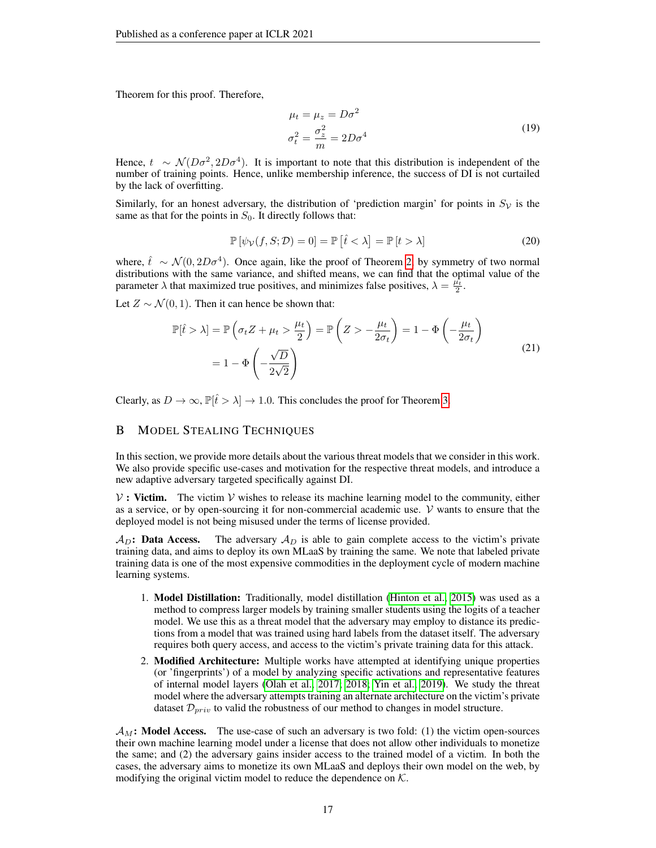Theorem for this proof. Therefore,

$$
\mu_t = \mu_z = D\sigma^2
$$
  

$$
\sigma_t^2 = \frac{\sigma_z^2}{m} = 2D\sigma^4
$$
 (19)

Hence,  $t \sim \mathcal{N}(D\sigma^2, 2D\sigma^4)$ . It is important to note that this distribution is independent of the number of training points. Hence, unlike membership inference, the success of DI is not curtailed by the lack of overfitting.

Similarly, for an honest adversary, the distribution of 'prediction margin' for points in  $S_{\mathcal{V}}$  is the same as that for the points in  $S_0$ . It directly follows that:

$$
\mathbb{P}\left[\psi_{\mathcal{V}}(f,S;\mathcal{D})=0\right]=\mathbb{P}\left[\hat{t}<\lambda\right]=\mathbb{P}\left[t>\lambda\right]
$$
\n(20)

where,  $\hat{t} \sim \mathcal{N}(0, 2D\sigma^4)$ . Once again, like the proof of Theorem [2,](#page-4-3) by symmetry of two normal distributions with the same variance, and shifted means, we can find that the optimal value of the parameter  $\lambda$  that maximized true positives, and minimizes false positives,  $\lambda = \frac{\mu_t}{2}$ .

Let  $Z \sim \mathcal{N}(0, 1)$ . Then it can hence be shown that:

$$
\mathbb{P}[\hat{t} > \lambda] = \mathbb{P}\left(\sigma_t Z + \mu_t > \frac{\mu_t}{2}\right) = \mathbb{P}\left(Z > -\frac{\mu_t}{2\sigma_t}\right) = 1 - \Phi\left(-\frac{\mu_t}{2\sigma_t}\right)
$$
\n
$$
= 1 - \Phi\left(-\frac{\sqrt{D}}{2\sqrt{2}}\right)
$$
\n(21)

Clearly, as  $D \to \infty$ ,  $\mathbb{P}[\hat{t} > \lambda] \to 1.0$ . This concludes the proof for Theorem [3.](#page-4-4)

## <span id="page-16-0"></span>B MODEL STEALING TECHNIQUES

In this section, we provide more details about the various threat models that we consider in this work. We also provide specific use-cases and motivation for the respective threat models, and introduce a new adaptive adversary targeted specifically against DI.

 $V$ : Victim. The victim  $V$  wishes to release its machine learning model to the community, either as a service, or by open-sourcing it for non-commercial academic use.  $V$  wants to ensure that the deployed model is not being misused under the terms of license provided.

 $A_D$ : Data Access. The adversary  $A_D$  is able to gain complete access to the victim's private training data, and aims to deploy its own MLaaS by training the same. We note that labeled private training data is one of the most expensive commodities in the deployment cycle of modern machine learning systems.

- 1. Model Distillation: Traditionally, model distillation [\(Hinton et al., 2015\)](#page-9-3) was used as a method to compress larger models by training smaller students using the logits of a teacher model. We use this as a threat model that the adversary may employ to distance its predictions from a model that was trained using hard labels from the dataset itself. The adversary requires both query access, and access to the victim's private training data for this attack.
- 2. Modified Architecture: Multiple works have attempted at identifying unique properties (or 'fingerprints') of a model by analyzing specific activations and representative features of internal model layers [\(Olah et al., 2017;](#page-10-14) [2018;](#page-10-15) [Yin et al., 2019\)](#page-11-13). We study the threat model where the adversary attempts training an alternate architecture on the victim's private dataset  $\mathcal{D}_{priv}$  to valid the robustness of our method to changes in model structure.

 $\mathcal{A}_M$ : Model Access. The use-case of such an adversary is two fold: (1) the victim open-sources their own machine learning model under a license that does not allow other individuals to monetize the same; and (2) the adversary gains insider access to the trained model of a victim. In both the cases, the adversary aims to monetize its own MLaaS and deploys their own model on the web, by modifying the original victim model to reduce the dependence on  $K$ .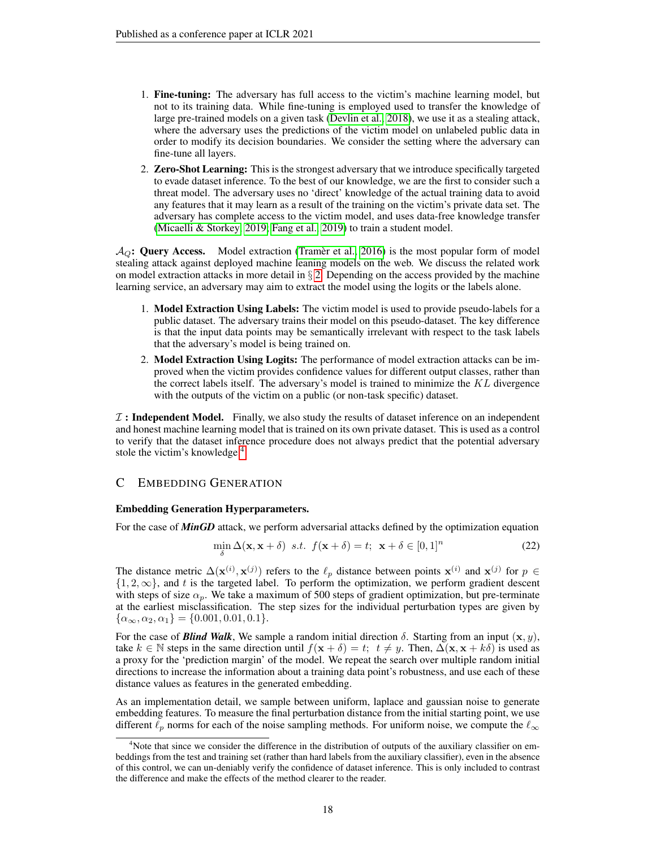- 1. Fine-tuning: The adversary has full access to the victim's machine learning model, but not to its training data. While fine-tuning is employed used to transfer the knowledge of large pre-trained models on a given task [\(Devlin et al., 2018\)](#page-9-14), we use it as a stealing attack, where the adversary uses the predictions of the victim model on unlabeled public data in order to modify its decision boundaries. We consider the setting where the adversary can fine-tune all layers.
- 2. Zero-Shot Learning: This is the strongest adversary that we introduce specifically targeted to evade dataset inference. To the best of our knowledge, we are the first to consider such a threat model. The adversary uses no 'direct' knowledge of the actual training data to avoid any features that it may learn as a result of the training on the victim's private data set. The adversary has complete access to the victim model, and uses data-free knowledge transfer [\(Micaelli & Storkey, 2019;](#page-10-16) [Fang et al., 2019\)](#page-9-2) to train a student model.

 $A_{\mathcal{O}}$ : Query Access. Model extraction [\(Tramer et al., 2016\)](#page-11-2) is the most popular form of model stealing attack against deployed machine leaning models on the web. We discuss the related work on model extraction attacks in more detail in  $\S$  [2.](#page-2-0) Depending on the access provided by the machine learning service, an adversary may aim to extract the model using the logits or the labels alone.

- 1. Model Extraction Using Labels: The victim model is used to provide pseudo-labels for a public dataset. The adversary trains their model on this pseudo-dataset. The key difference is that the input data points may be semantically irrelevant with respect to the task labels that the adversary's model is being trained on.
- 2. Model Extraction Using Logits: The performance of model extraction attacks can be improved when the victim provides confidence values for different output classes, rather than the correct labels itself. The adversary's model is trained to minimize the  $KL$  divergence with the outputs of the victim on a public (or non-task specific) dataset.

 $\mathcal I$ : Independent Model. Finally, we also study the results of dataset inference on an independent and honest machine learning model that is trained on its own private dataset. This is used as a control to verify that the dataset inference procedure does not always predict that the potential adversary stole the victim's knowledge.<sup>[4](#page-17-1)</sup>

# <span id="page-17-0"></span>C EMBEDDING GENERATION

## Embedding Generation Hyperparameters.

For the case of *MinGD* attack, we perform adversarial attacks defined by the optimization equation

$$
\min_{\delta} \Delta(\mathbf{x}, \mathbf{x} + \delta) \ \ s.t. \ \ f(\mathbf{x} + \delta) = t; \ \ \mathbf{x} + \delta \in [0, 1]^n \tag{22}
$$

The distance metric  $\Delta(\mathbf{x}^{(i)}, \mathbf{x}^{(j)})$  refers to the  $\ell_p$  distance between points  $\mathbf{x}^{(i)}$  and  $\mathbf{x}^{(j)}$  for  $p \in$  $\{1, 2, \infty\}$ , and t is the targeted label. To perform the optimization, we perform gradient descent with steps of size  $\alpha_p$ . We take a maximum of 500 steps of gradient optimization, but pre-terminate at the earliest misclassification. The step sizes for the individual perturbation types are given by  $\{\alpha_{\infty}, \alpha_2, \alpha_1\} = \{0.001, 0.01, 0.1\}.$ 

For the case of *Blind Walk*, We sample a random initial direction  $\delta$ . Starting from an input  $(x, y)$ , take  $k \in \mathbb{N}$  steps in the same direction until  $f(x + \delta) = t$ ;  $t \neq y$ . Then,  $\Delta(x, x + k\delta)$  is used as a proxy for the 'prediction margin' of the model. We repeat the search over multiple random initial directions to increase the information about a training data point's robustness, and use each of these distance values as features in the generated embedding.

As an implementation detail, we sample between uniform, laplace and gaussian noise to generate embedding features. To measure the final perturbation distance from the initial starting point, we use different  $\ell_p$  norms for each of the noise sampling methods. For uniform noise, we compute the  $\ell_{\infty}$ 

<span id="page-17-1"></span> $4$ Note that since we consider the difference in the distribution of outputs of the auxiliary classifier on embeddings from the test and training set (rather than hard labels from the auxiliary classifier), even in the absence of this control, we can un-deniably verify the confidence of dataset inference. This is only included to contrast the difference and make the effects of the method clearer to the reader.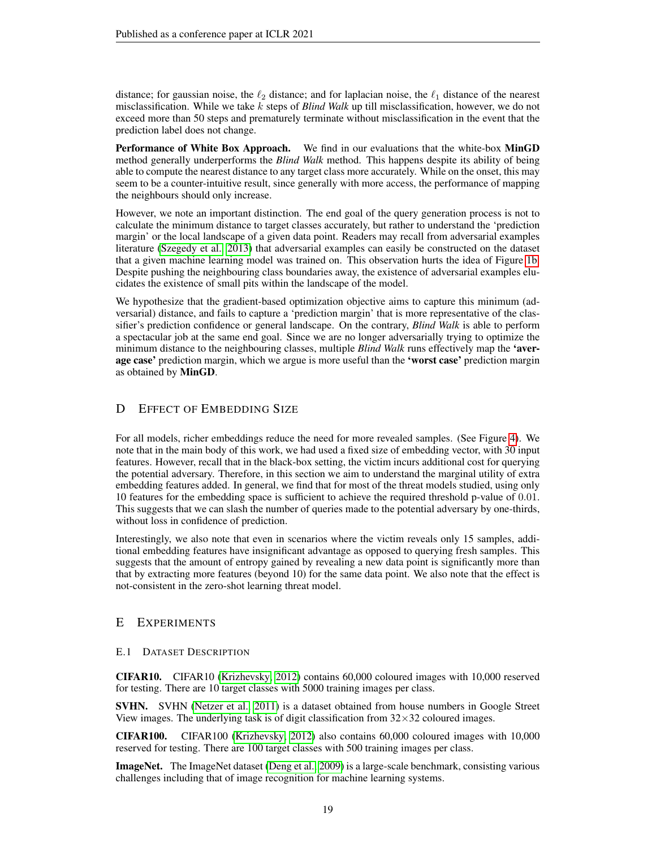distance; for gaussian noise, the  $\ell_2$  distance; and for laplacian noise, the  $\ell_1$  distance of the nearest misclassification. While we take k steps of *Blind Walk* up till misclassification, however, we do not exceed more than 50 steps and prematurely terminate without misclassification in the event that the prediction label does not change.

Performance of White Box Approach. We find in our evaluations that the white-box MinGD method generally underperforms the *Blind Walk* method. This happens despite its ability of being able to compute the nearest distance to any target class more accurately. While on the onset, this may seem to be a counter-intuitive result, since generally with more access, the performance of mapping the neighbours should only increase.

However, we note an important distinction. The end goal of the query generation process is not to calculate the minimum distance to target classes accurately, but rather to understand the 'prediction margin' or the local landscape of a given data point. Readers may recall from adversarial examples literature [\(Szegedy et al., 2013\)](#page-11-9) that adversarial examples can easily be constructed on the dataset that a given machine learning model was trained on. This observation hurts the idea of Figure [1b.](#page-4-0) Despite pushing the neighbouring class boundaries away, the existence of adversarial examples elucidates the existence of small pits within the landscape of the model.

We hypothesize that the gradient-based optimization objective aims to capture this minimum (adversarial) distance, and fails to capture a 'prediction margin' that is more representative of the classifier's prediction confidence or general landscape. On the contrary, *Blind Walk* is able to perform a spectacular job at the same end goal. Since we are no longer adversarially trying to optimize the minimum distance to the neighbouring classes, multiple *Blind Walk* runs effectively map the 'average case' prediction margin, which we argue is more useful than the 'worst case' prediction margin as obtained by MinGD.

# <span id="page-18-1"></span>D EFFECT OF EMBEDDING SIZE

For all models, richer embeddings reduce the need for more revealed samples. (See Figure [4\)](#page-19-1). We note that in the main body of this work, we had used a fixed size of embedding vector, with 30 input features. However, recall that in the black-box setting, the victim incurs additional cost for querying the potential adversary. Therefore, in this section we aim to understand the marginal utility of extra embedding features added. In general, we find that for most of the threat models studied, using only 10 features for the embedding space is sufficient to achieve the required threshold p-value of 0.01. This suggests that we can slash the number of queries made to the potential adversary by one-thirds, without loss in confidence of prediction.

Interestingly, we also note that even in scenarios where the victim reveals only 15 samples, additional embedding features have insignificant advantage as opposed to querying fresh samples. This suggests that the amount of entropy gained by revealing a new data point is significantly more than that by extracting more features (beyond 10) for the same data point. We also note that the effect is not-consistent in the zero-shot learning threat model.

# E EXPERIMENTS

# <span id="page-18-0"></span>E.1 DATASET DESCRIPTION

CIFAR10. CIFAR10 [\(Krizhevsky, 2012\)](#page-9-15) contains 60,000 coloured images with 10,000 reserved for testing. There are 10 target classes with 5000 training images per class.

SVHN. SVHN [\(Netzer et al., 2011\)](#page-10-17) is a dataset obtained from house numbers in Google Street View images. The underlying task is of digit classification from  $32 \times 32$  coloured images.

CIFAR100. CIFAR100 [\(Krizhevsky, 2012\)](#page-9-15) also contains 60,000 coloured images with 10,000 reserved for testing. There are 100 target classes with 500 training images per class.

ImageNet. The ImageNet dataset [\(Deng et al., 2009\)](#page-9-16) is a large-scale benchmark, consisting various challenges including that of image recognition for machine learning systems.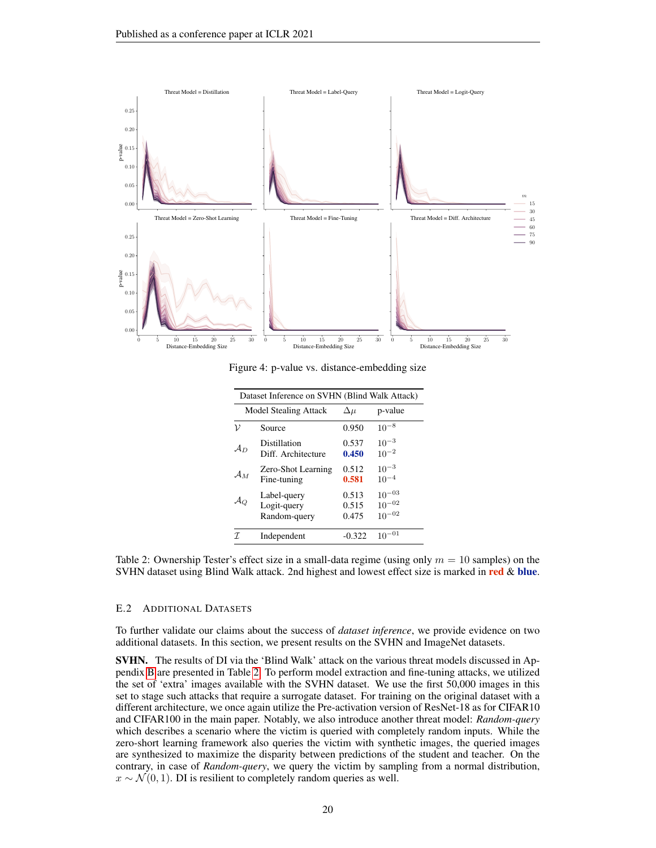<span id="page-19-1"></span>

<span id="page-19-2"></span>Figure 4: p-value vs. distance-embedding size

| Dataset Inference on SVHN (Blind Walk Attack) |                                            |                         |                                        |  |
|-----------------------------------------------|--------------------------------------------|-------------------------|----------------------------------------|--|
|                                               | <b>Model Stealing Attack</b>               | $\Delta \mu$            | p-value                                |  |
| ν                                             | Source                                     | 0.950                   | $10^{-8}$                              |  |
| $\mathcal{A}_D$                               | Distillation<br>Diff. Architecture         | 0.537<br>0.450          | $10^{-3}$<br>$10^{-2}$                 |  |
| $A_M$                                         | Zero-Shot Learning<br>Fine-tuning          | 0.512<br>0.581          | $10^{-3}$<br>$10^{-4}$                 |  |
|                                               | Label-query<br>Logit-query<br>Random-query | 0.513<br>0.515<br>0.475 | $10^{-03}$<br>$10^{-02}$<br>$10^{-02}$ |  |
|                                               | Independent                                | $-0.322$                | $^{-01}$                               |  |

Table 2: Ownership Tester's effect size in a small-data regime (using only  $m = 10$  samples) on the SVHN dataset using Blind Walk attack. 2nd highest and lowest effect size is marked in red & blue.

#### <span id="page-19-0"></span>E.2 ADDITIONAL DATASETS

To further validate our claims about the success of *dataset inference*, we provide evidence on two additional datasets. In this section, we present results on the SVHN and ImageNet datasets.

SVHN. The results of DI via the 'Blind Walk' attack on the various threat models discussed in Appendix [B](#page-16-0) are presented in Table [2.](#page-19-2) To perform model extraction and fine-tuning attacks, we utilized the set of 'extra' images available with the SVHN dataset. We use the first 50,000 images in this set to stage such attacks that require a surrogate dataset. For training on the original dataset with a different architecture, we once again utilize the Pre-activation version of ResNet-18 as for CIFAR10 and CIFAR100 in the main paper. Notably, we also introduce another threat model: *Random-query* which describes a scenario where the victim is queried with completely random inputs. While the zero-short learning framework also queries the victim with synthetic images, the queried images are synthesized to maximize the disparity between predictions of the student and teacher. On the contrary, in case of *Random-query*, we query the victim by sampling from a normal distribution,  $x \sim \mathcal{N}(0, 1)$ . DI is resilient to completely random queries as well.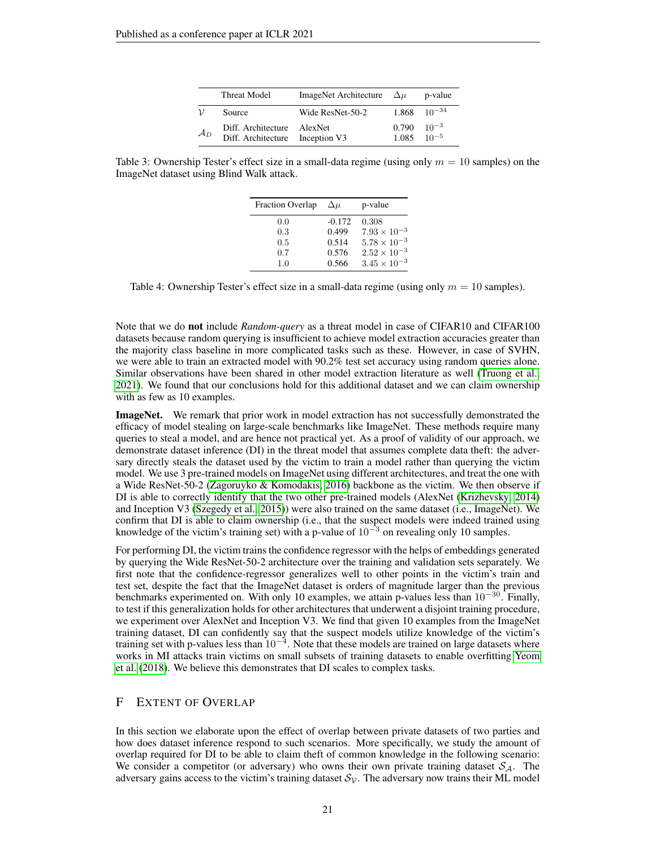|                   | Threat Model                             | <b>ImageNet Architecture</b> | $\Delta u$     | p-value                |
|-------------------|------------------------------------------|------------------------------|----------------|------------------------|
| $\mathcal{V}$     | Source                                   | Wide ResNet-50-2             | 1.868          | $10^{-34}$             |
| $\mathcal{A}_{D}$ | Diff. Architecture<br>Diff. Architecture | AlexNet<br>Inception V3      | 0.790<br>1.085 | $10^{-3}$<br>$10^{-5}$ |

<span id="page-20-0"></span>Table 3: Ownership Tester's effect size in a small-data regime (using only  $m = 10$  samples) on the ImageNet dataset using Blind Walk attack.

| <b>Fraction Overlap</b> | $\Delta u$ | p-value               |
|-------------------------|------------|-----------------------|
| 0.0                     | $-0.172$   | 0.308                 |
| 0.3                     | 0.499      | $7.93 \times 10^{-3}$ |
| 0.5                     | 0.514      | $5.78 \times 10^{-3}$ |
| 0.7                     | 0.576      | $2.52 \times 10^{-3}$ |
| 1.0                     | 0.566      | $3.45 \times 10^{-3}$ |

Table 4: Ownership Tester's effect size in a small-data regime (using only  $m = 10$  samples).

Note that we do not include *Random-query* as a threat model in case of CIFAR10 and CIFAR100 datasets because random querying is insufficient to achieve model extraction accuracies greater than the majority class baseline in more complicated tasks such as these. However, in case of SVHN, we were able to train an extracted model with 90.2% test set accuracy using random queries alone. Similar observations have been shared in other model extraction literature as well [\(Truong et al.,](#page-11-5) [2021\)](#page-11-5). We found that our conclusions hold for this additional dataset and we can claim ownership with as few as 10 examples.

**ImageNet.** We remark that prior work in model extraction has not successfully demonstrated the efficacy of model stealing on large-scale benchmarks like ImageNet. These methods require many queries to steal a model, and are hence not practical yet. As a proof of validity of our approach, we demonstrate dataset inference (DI) in the threat model that assumes complete data theft: the adversary directly steals the dataset used by the victim to train a model rather than querying the victim model. We use 3 pre-trained models on ImageNet using different architectures, and treat the one with a Wide ResNet-50-2 [\(Zagoruyko & Komodakis, 2016\)](#page-11-10) backbone as the victim. We then observe if DI is able to correctly identify that the two other pre-trained models (AlexNet [\(Krizhevsky, 2014\)](#page-9-17) and Inception V3 [\(Szegedy et al., 2015\)](#page-11-14)) were also trained on the same dataset (i.e., ImageNet). We confirm that DI is able to claim ownership (i.e., that the suspect models were indeed trained using knowledge of the victim's training set) with a p-value of  $10^{-3}$  on revealing only 10 samples.

For performing DI, the victim trains the confidence regressor with the helps of embeddings generated by querying the Wide ResNet-50-2 architecture over the training and validation sets separately. We first note that the confidence-regressor generalizes well to other points in the victim's train and test set, despite the fact that the ImageNet dataset is orders of magnitude larger than the previous benchmarks experimented on. With only 10 examples, we attain p-values less than  $10^{-30}$ . Finally, to test if this generalization holds for other architectures that underwent a disjoint training procedure, we experiment over AlexNet and Inception V3. We find that given 10 examples from the ImageNet training dataset, DI can confidently say that the suspect models utilize knowledge of the victim's training set with p-values less than  $10^{-4}$ . Note that these models are trained on large datasets where works in MI attacks train victims on small subsets of training datasets to enable overfitting [Yeom](#page-11-4) [et al.](#page-11-4) [\(2018\)](#page-11-4). We believe this demonstrates that DI scales to complex tasks.

## F EXTENT OF OVERLAP

In this section we elaborate upon the effect of overlap between private datasets of two parties and how does dataset inference respond to such scenarios. More specifically, we study the amount of overlap required for DI to be able to claim theft of common knowledge in the following scenario: We consider a competitor (or adversary) who owns their own private training dataset  $S_A$ . The adversary gains access to the victim's training dataset  $S_{\mathcal{V}}$ . The adversary now trains their ML model